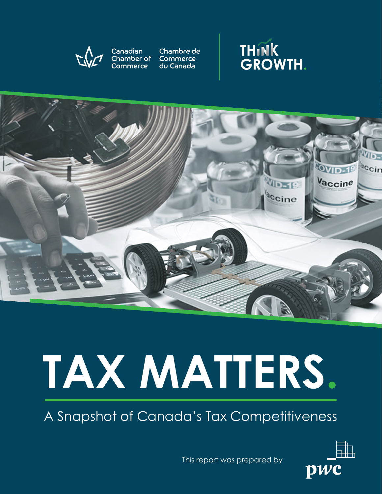

Canadian Chambre de<br>Chamber of Commerce Commerce du Canada





# **TAX MATTERS.**

A Snapshot of Canada's Tax Competitiveness

This report was prepared by

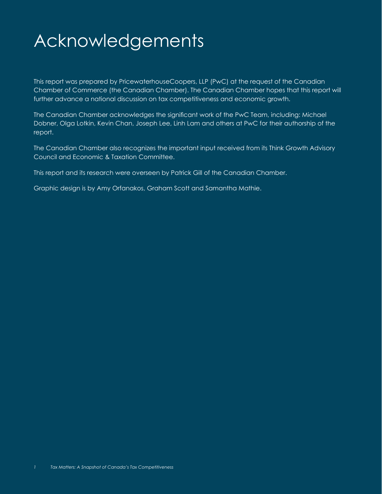# Acknowledgements

This report was prepared by PricewaterhouseCoopers, LLP (PwC) at the request of the Canadian Chamber of Commerce (the Canadian Chamber). The Canadian Chamber hopes that this report will further advance a national discussion on tax competitiveness and economic growth.

The Canadian Chamber acknowledges the significant work of the PwC Team, including: Michael Dobner, Olga Lotkin, Kevin Chan, Joseph Lee, Linh Lam and others at PwC for their authorship of the report.

The Canadian Chamber also recognizes the important input received from its Think Growth Advisory Council and Economic & Taxation Committee.

This report and its research were overseen by Patrick Gill of the Canadian Chamber.

Graphic design is by Amy Orfanakos, Graham Scott and Samantha Mathie.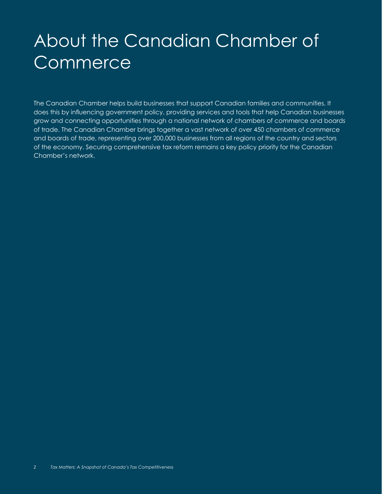# About the Canadian Chamber of **Commerce**

The Canadian Chamber helps build businesses that support Canadian families and communities. It does this by influencing government policy, providing services and tools that help Canadian businesses grow and connecting opportunities through a national network of chambers of commerce and boards of trade. The Canadian Chamber brings together a vast network of over 450 chambers of commerce and boards of trade, representing over 200,000 businesses from all regions of the country and sectors of the economy. Securing comprehensive tax reform remains a key policy priority for the Canadian Chamber's network.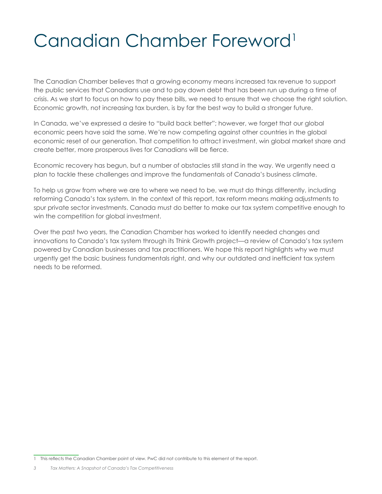# Canadian Chamber Foreword<sup>1</sup>

The Canadian Chamber believes that a growing economy means increased tax revenue to support the public services that Canadians use and to pay down debt that has been run up during a time of crisis. As we start to focus on how to pay these bills, we need to ensure that we choose the right solution. Economic growth, not increasing tax burden, is by far the best way to build a stronger future.

In Canada, we've expressed a desire to "build back better"; however, we forget that our global economic peers have said the same. We're now competing against other countries in the global economic reset of our generation. That competition to attract investment, win global market share and create better, more prosperous lives for Canadians will be fierce.

Economic recovery has begun, but a number of obstacles still stand in the way. We urgently need a plan to tackle these challenges and improve the fundamentals of Canada's business climate.

To help us grow from where we are to where we need to be, we must do things differently, including reforming Canada's tax system. In the context of this report, tax reform means making adjustments to spur private sector investments. Canada must do better to make our tax system competitive enough to win the competition for global investment.

Over the past two years, the Canadian Chamber has worked to identify needed changes and innovations to Canada's tax system through its Think Growth project—a review of Canada's tax system powered by Canadian businesses and tax practitioners. We hope this report highlights why we must urgently get the basic business fundamentals right, and why our outdated and inefficient tax system needs to be reformed.

<sup>1</sup> This reflects the Canadian Chamber point of view. PwC did not contribute to this element of the report.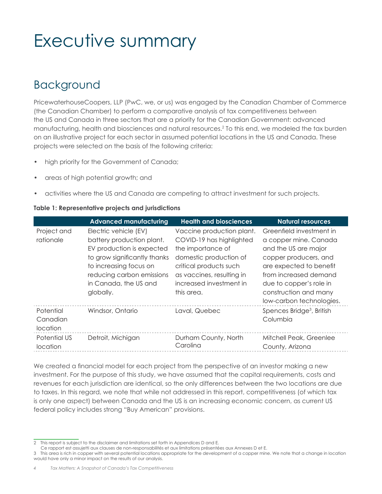# Executive summary

### Background

PricewaterhouseCoopers, LLP (PwC, we, or us) was engaged by the Canadian Chamber of Commerce (the Canadian Chamber) to perform a comparative analysis of tax competitiveness between the US and Canada in three sectors that are a priority for the Canadian Government: advanced manufacturing, health and biosciences and natural resources.2 To this end, we modeled the tax burden on an illustrative project for each sector in assumed potential locations in the US and Canada. These projects were selected on the basis of the following criteria:

- high priority for the Government of Canada;
- areas of high potential growth; and
- activities where the US and Canada are competing to attract investment for such projects.

#### **Table 1: Representative projects and jurisdictions**

|                                          | <b>Advanced manufacturing</b>                                                                                                                                                                                | <b>Health and biosciences</b>                                                                                                                                                                        | <b>Natural resources</b>                                                                                                                                                                                                               |
|------------------------------------------|--------------------------------------------------------------------------------------------------------------------------------------------------------------------------------------------------------------|------------------------------------------------------------------------------------------------------------------------------------------------------------------------------------------------------|----------------------------------------------------------------------------------------------------------------------------------------------------------------------------------------------------------------------------------------|
| Project and<br>rationale                 | Electric vehicle (EV)<br>battery production plant.<br>EV production is expected<br>to grow significantly thanks<br>to increasing focus on<br>reducing carbon emissions<br>in Canada, the US and<br>globally. | Vaccine production plant.<br>COVID-19 has highlighted<br>the importance of<br>domestic production of<br>critical products such<br>as vaccines, resulting in<br>increased investment in<br>this area. | Greenfield investment in<br>a copper mine. Canada<br>and the US are major<br>copper producers, and<br>are expected to benefit<br>from increased demand<br>due to copper's role in<br>construction and many<br>low-carbon technologies. |
| Potential<br>Canadian<br><i>location</i> | Windsor, Ontario                                                                                                                                                                                             | Laval, Quebec                                                                                                                                                                                        | Spences Bridge <sup>3</sup> , British<br>Columbia                                                                                                                                                                                      |
| Potential US<br>location                 | Detroit, Michigan                                                                                                                                                                                            | Durham County, North<br>Carolina                                                                                                                                                                     | Mitchell Peak, Greenlee<br>County, Arizona                                                                                                                                                                                             |

We created a financial model for each project from the perspective of an investor making a new investment. For the purpose of this study, we have assumed that the capital requirements, costs and revenues for each jurisdiction are identical, so the only differences between the two locations are due to taxes. In this regard, we note that while not addressed in this report, competitiveness (of which tax is only one aspect) between Canada and the US is an increasing economic concern, as current US federal policy includes strong "Buy American" provisions.

<sup>2</sup> This report is subject to the disclaimer and limitations set forth in Appendices D and E.

Ce rapport est assujetti aux clauses de non-responsabilités et aux limitations présentées aux Annexes D et E.

<sup>3</sup> This area is rich in copper with several potential locations appropriate for the development of a copper mine. We note that a change in location would have only a minor impact on the results of our analysis.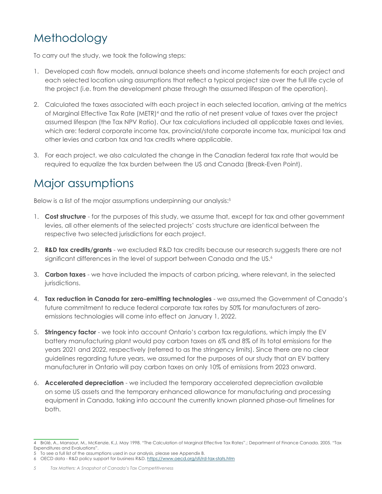# Methodology

To carry out the study, we took the following steps:

- 1. Developed cash flow models, annual balance sheets and income statements for each project and each selected location using assumptions that reflect a typical project size over the full life cycle of the project (i.e. from the development phase through the assumed lifespan of the operation).
- 2. Calculated the taxes associated with each project in each selected location, arriving at the metrics of Marginal Effective Tax Rate (METR)<sup>4</sup> and the ratio of net present value of taxes over the project assumed lifespan (the Tax NPV Ratio). Our tax calculations included all applicable taxes and levies, which are: federal corporate income tax, provincial/state corporate income tax, municipal tax and other levies and carbon tax and tax credits where applicable.
- 3. For each project, we also calculated the change in the Canadian federal tax rate that would be required to equalize the tax burden between the US and Canada (Break-Even Point).

### Major assumptions

Below is a list of the major assumptions underpinning our analysis:<sup>5</sup>

- 1. **Cost structure**  for the purposes of this study, we assume that, except for tax and other government levies, all other elements of the selected projects' costs structure are identical between the respective two selected jurisdictions for each project.
- 2. **R&D tax credits/grants** we excluded R&D tax credits because our research suggests there are not significant differences in the level of support between Canada and the US.<sup>6</sup>
- 3. **Carbon taxes**  we have included the impacts of carbon pricing, where relevant, in the selected jurisdictions.
- 4. **Tax reduction in Canada for zero-emitting technologies** we assumed the Government of Canada's future commitment to reduce federal corporate tax rates by 50% for manufacturers of zeroemissions technologies will come into effect on January 1, 2022.
- 5. **Stringency factor**  we took into account Ontario's carbon tax regulations, which imply the EV battery manufacturing plant would pay carbon taxes on 6% and 8% of its total emissions for the years 2021 and 2022, respectively (referred to as the stringency limits). Since there are no clear guidelines regarding future years, we assumed for the purposes of our study that an EV battery manufacturer in Ontario will pay carbon taxes on only 10% of emissions from 2023 onward.
- 6. **Accelerated depreciation**  we included the temporary accelerated depreciation available on some US assets and the temporary enhanced allowance for manufacturing and processing equipment in Canada, taking into account the currently known planned phase-out timelines for both.

<sup>4</sup> Brûlé, A., Mansour, M., McKenzie, K.J. May 1998. "The Calculation of Marginal Effective Tax Rates".; Department of Finance Canada. 2005. "Tax Expenditures and Evaluations".

<sup>5</sup> To see a full list of the assumptions used in our analysis, please see Appendix B.

<sup>6</sup> OECD data - R&D policy support for business R&D. https://www.oecd.org/sti/rd-tax-stats.htm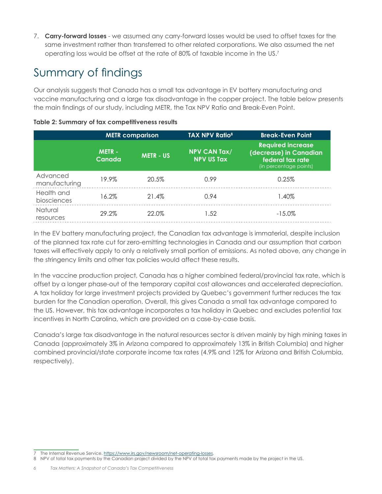7. **Carry-forward losses** - we assumed any carry-forward losses would be used to offset taxes for the same investment rather than transferred to other related corporations. We also assumed the net operating loss would be offset at the rate of 80% of taxable income in the US.7

# Summary of findings

Our analysis suggests that Canada has a small tax advantage in EV battery manufacturing and vaccine manufacturing and a large tax disadvantage in the copper project. The table below presents the main findings of our study, including METR, the Tax NPV Ratio and Break-Even Point.

|                           |                        | <b>METR</b> comparison | <b>TAX NPV Ratio<sup>8</sup></b>         | <b>Break-Even Point</b>                                                                          |
|---------------------------|------------------------|------------------------|------------------------------------------|--------------------------------------------------------------------------------------------------|
|                           | <b>METR-</b><br>Canada | <b>METR - US</b>       | <b>NPV CAN Tax/</b><br><b>NPV US Tax</b> | <b>Required increase</b><br>(decrease) in Canadian<br>federal tax rate<br>(in percentage points) |
| Advanced<br>manufacturing | 19.9%                  | 20.5%                  | 0.99                                     | 0.25%                                                                                            |
| Health and<br>biosciences | 16.2%                  | 21.4%                  | 0.94                                     | 1.40%                                                                                            |
| Natural<br>resources      | 29.2%                  | 22.0%                  | 1.52                                     | $-15.0\%$                                                                                        |

#### **Table 2: Summary of tax competitiveness results**

In the EV battery manufacturing project, the Canadian tax advantage is immaterial, despite inclusion of the planned tax rate cut for zero-emitting technologies in Canada and our assumption that carbon taxes will effectively apply to only a relatively small portion of emissions. As noted above, any change in the stringency limits and other tax policies would affect these results.

In the vaccine production project, Canada has a higher combined federal/provincial tax rate, which is offset by a longer phase-out of the temporary capital cost allowances and accelerated depreciation. A tax holiday for large investment projects provided by Quebec's government further reduces the tax burden for the Canadian operation. Overall, this gives Canada a small tax advantage compared to the US. However, this tax advantage incorporates a tax holiday in Quebec and excludes potential tax incentives in North Carolina, which are provided on a case-by-case basis.

Canada's large tax disadvantage in the natural resources sector is driven mainly by high mining taxes in Canada (approximately 3% in Arizona compared to approximately 13% in British Columbia) and higher combined provincial/state corporate income tax rates (4.9% and 12% for Arizona and British Columbia, respectively).

The Internal Revenue Service. https://www.irs.gov/newsroom/net-operating-losses.

<sup>8</sup> NPV of total tax payments by the Canadian project divided by the NPV of total tax payments made by the project in the US.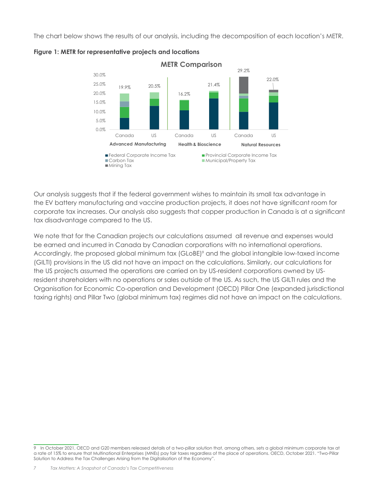The chart below shows the results of our analysis, including the decomposition of each location's METR.





Our analysis suggests that if the federal government wishes to maintain its small tax advantage in the EV battery manufacturing and vaccine production projects, it does not have significant room for corporate tax increases. Our analysis also suggests that copper production in Canada is at a significant tax disadvantage compared to the US.

We note that for the Canadian projects our calculations assumed all revenue and expenses would be earned and incurred in Canada by Canadian corporations with no international operations. Accordingly, the proposed global minimum tax (GLoBE)<sup>9</sup> and the global intangible low-taxed income (GILTI) provisions in the US did not have an impact on the calculations. Similarly, our calculations for the US projects assumed the operations are carried on by US-resident corporations owned by USresident shareholders with no operations or sales outside of the US. As such, the US GILTI rules and the Organisation for Economic Co-operation and Development (OECD) Pillar One (expanded jurisdictional taxing rights) and Pillar Two (global minimum tax) regimes did not have an impact on the calculations.

<sup>9</sup> In October 2021, OECD and G20 members released details of a two-pillar solution that, among others, sets a global minimum corporate tax at a rate of 15% to ensure that Multinational Enterprises (MNEs) pay fair taxes regardless of the place of operations. OECD, October 2021. "Two-Pillar Solution to Address the Tax Challenges Arising from the Digitalisation of the Economy".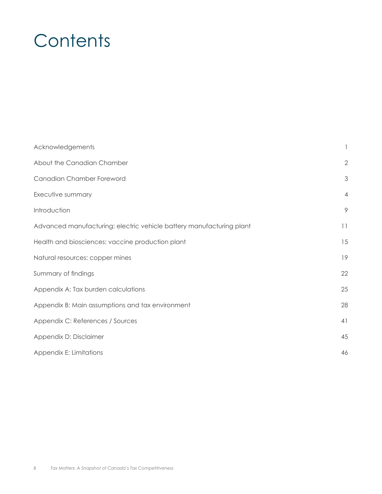# **Contents**

| Acknowledgements                                                     |                |
|----------------------------------------------------------------------|----------------|
| About the Canadian Chamber                                           | $\overline{2}$ |
| Canadian Chamber Foreword                                            | 3              |
| Executive summary                                                    | $\overline{4}$ |
| Introduction                                                         | 9              |
| Advanced manufacturing: electric vehicle battery manufacturing plant | 11             |
| Health and biosciences: vaccine production plant                     | 15             |
| Natural resources: copper mines                                      | 19             |
| Summary of findings                                                  | 22             |
| Appendix A: Tax burden calculations                                  | 25             |
| Appendix B: Main assumptions and tax environment                     | 28             |
| Appendix C: References / Sources                                     | 41             |
| Appendix D: Disclaimer                                               | 45             |
| Appendix E: Limitations                                              | 46             |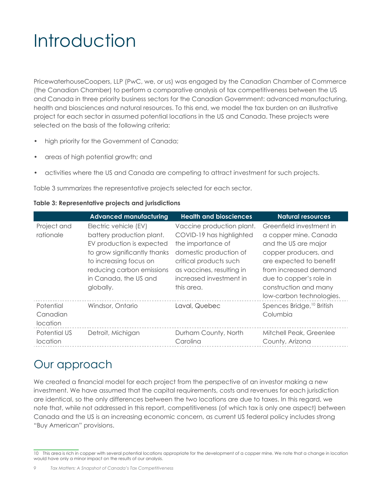# Introduction

PricewaterhouseCoopers, LLP (PwC, we, or us) was engaged by the Canadian Chamber of Commerce (the Canadian Chamber) to perform a comparative analysis of tax competitiveness between the US and Canada in three priority business sectors for the Canadian Government: advanced manufacturing, health and biosciences and natural resources. To this end, we model the tax burden on an illustrative project for each sector in assumed potential locations in the US and Canada. These projects were selected on the basis of the following criteria:

- high priority for the Government of Canada;
- areas of high potential growth; and
- activities where the US and Canada are competing to attract investment for such projects.

Table 3 summarizes the representative projects selected for each sector.

| Table 3: Representative projects and jurisdictions |  |  |
|----------------------------------------------------|--|--|
|----------------------------------------------------|--|--|

|                                   | <b>Advanced manufacturing</b>                                                                                                                                                                                | <b>Health and biosciences</b>                                                                                                                                                                        | <b>Natural resources</b>                                                                                                                                                                                                               |
|-----------------------------------|--------------------------------------------------------------------------------------------------------------------------------------------------------------------------------------------------------------|------------------------------------------------------------------------------------------------------------------------------------------------------------------------------------------------------|----------------------------------------------------------------------------------------------------------------------------------------------------------------------------------------------------------------------------------------|
| Project and<br>rationale          | Electric vehicle (EV)<br>battery production plant.<br>EV production is expected<br>to grow significantly thanks<br>to increasing focus on<br>reducing carbon emissions<br>in Canada, the US and<br>globally. | Vaccine production plant.<br>COVID-19 has highlighted<br>the importance of<br>domestic production of<br>critical products such<br>as vaccines, resulting in<br>increased investment in<br>this area. | Greenfield investment in<br>a copper mine. Canada<br>and the US are major<br>copper producers, and<br>are expected to benefit<br>from increased demand<br>due to copper's role in<br>construction and many<br>low-carbon technologies. |
| Potential<br>Canadian<br>location | Windsor, Ontario                                                                                                                                                                                             | Laval, Quebec                                                                                                                                                                                        | Spences Bridge, <sup>10</sup> British<br>Columbia                                                                                                                                                                                      |
| Potential US<br>location          | Detroit, Michigan                                                                                                                                                                                            | Durham County, North<br>Carolina                                                                                                                                                                     | Mitchell Peak, Greenlee<br>County, Arizona                                                                                                                                                                                             |

### Our approach

We created a financial model for each project from the perspective of an investor making a new investment. We have assumed that the capital requirements, costs and revenues for each jurisdiction are identical, so the only differences between the two locations are due to taxes. In this regard, we note that, while not addressed in this report, competitiveness (of which tax is only one aspect) between Canada and the US is an increasing economic concern, as current US federal policy includes strong "Buy American" provisions.

<sup>10</sup> This area is rich in copper with several potential locations appropriate for the development of a copper mine. We note that a change in location would have only a minor impact on the results of our analysis.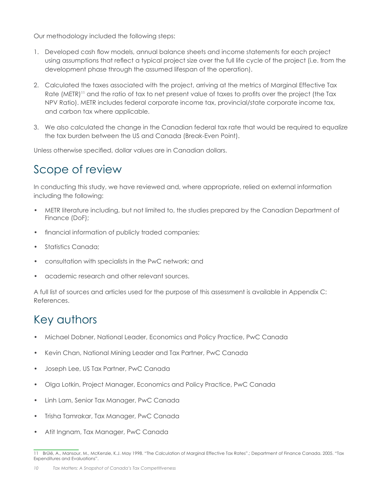Our methodology included the following steps:

- 1. Developed cash flow models, annual balance sheets and income statements for each project using assumptions that reflect a typical project size over the full life cycle of the project (i.e. from the development phase through the assumed lifespan of the operation).
- 2. Calculated the taxes associated with the project, arriving at the metrics of Marginal Effective Tax Rate (METR)<sup>11</sup> and the ratio of tax to net present value of taxes to profits over the project (the Tax NPV Ratio). METR includes federal corporate income tax, provincial/state corporate income tax, and carbon tax where applicable.
- 3. We also calculated the change in the Canadian federal tax rate that would be required to equalize the tax burden between the US and Canada (Break-Even Point).

Unless otherwise specified, dollar values are in Canadian dollars.

### Scope of review

In conducting this study, we have reviewed and, where appropriate, relied on external information including the following:

- METR literature including, but not limited to, the studies prepared by the Canadian Department of Finance (DoF);
- financial information of publicly traded companies;
- Statistics Canada;
- consultation with specialists in the PwC network; and
- academic research and other relevant sources.

A full list of sources and articles used for the purpose of this assessment is available in Appendix C: References.

### Key authors

- Michael Dobner, National Leader, Economics and Policy Practice, PwC Canada
- Kevin Chan, National Mining Leader and Tax Partner, PwC Canada
- Joseph Lee, US Tax Partner, PwC Canada
- Olga Lotkin, Project Manager, Economics and Policy Practice, PwC Canada
- Linh Lam, Senior Tax Manager, PwC Canada
- Trisha Tamrakar, Tax Manager, PwC Canada
- Atit Ingnam, Tax Manager, PwC Canada

<sup>11</sup> Brûlé, A., Mansour, M., McKenzie, K.J. May 1998. "The Calculation of Marginal Effective Tax Rates".; Department of Finance Canada. 2005. "Tax Expenditures and Evaluations".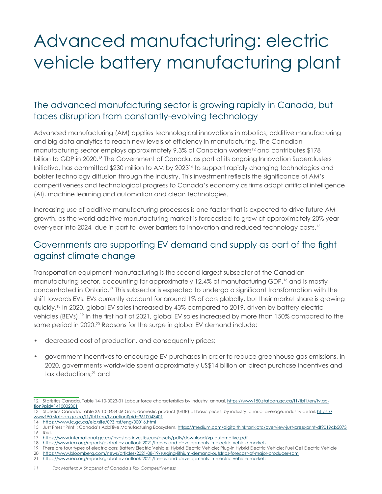# Advanced manufacturing: electric vehicle battery manufacturing plant

#### The advanced manufacturing sector is growing rapidly in Canada, but faces disruption from constantly-evolving technology

Advanced manufacturing (AM) applies technological innovations in robotics, additive manufacturing and big data analytics to reach new levels of efficiency in manufacturing. The Canadian manufacturing sector employs approximately 9.3% of Canadian workers<sup>12</sup> and contributes \$178 billion to GDP in 2020.13 The Government of Canada, as part of its ongoing Innovation Superclusters Initiative, has committed \$230 million to AM by 2023<sup>14</sup> to support rapidly changing technologies and bolster technology diffusion through the industry. This investment reflects the significance of AM's competitiveness and technological progress to Canada's economy as firms adopt artificial intelligence (AI), machine learning and automation and clean technologies.

Increasing use of additive manufacturing processes is one factor that is expected to drive future AM growth, as the world additive manufacturing market is forecasted to grow at approximately 20% yearover-year into 2024, due in part to lower barriers to innovation and reduced technology costs.15

#### Governments are supporting EV demand and supply as part of the fight against climate change

Transportation equipment manufacturing is the second largest subsector of the Canadian manufacturing sector, accounting for approximately 12.4% of manufacturing GDP,<sup>16</sup> and is mostly concentrated in Ontario.17 This subsector is expected to undergo a significant transformation with the shift towards EVs. EVs currently account for around 1% of cars globally, but their market share is growing quickly.18 In 2020, global EV sales increased by 43% compared to 2019, driven by battery electric vehicles (BEVs).<sup>19</sup> In the first half of 2021, global EV sales increased by more than 150% compared to the same period in 2020.<sup>20</sup> Reasons for the surge in global EV demand include:

- decreased cost of production, and consequently prices;
- government incentives to encourage EV purchases in order to reduce greenhouse gas emissions. In 2020, governments worldwide spent approximately US\$14 billion on direct purchase incentives and tax deductions;<sup>21</sup> and

17 https://www.international.gc.ca/investors-investisseurs/assets/pdfs/download/vp-automotive.pdf

<sup>12</sup> Statistics Canada, Table 14-10-0023-01 Labour force characteristics by industry, annual, https://www150.statcan.gc.ca/t1/tbl1/en/tv.action?pid=1410002301

<sup>13</sup> Statistics Canada, Table 36-10-0434-06 Gross domestic product (GDP) at basic prices, by industry, annual average, industry detail, https:// www150.statcan.gc.ca/t1/tbl1/en/tv.action?pid=3610043401

<sup>14</sup> https://www.ic.gc.ca/eic/site/093.nsf/eng/00016.html

<sup>15</sup> Just Press "Print": Canada's Additive Manufacturing Ecosystem, https://medium.com/digitalthinktankictc/overview-just-press-print-df9019cb5073 16 Ibid.

<sup>18</sup> https://www.iea.org/reports/global-ev-outlook-2021/trends-and-developments-in-electric-vehicle-markets

<sup>19</sup> There are four types of electric cars: Battery Electric Vehicle; Hybrid Electric Vehicle; Plug-in Hybrid Electric Vehicle; Fuel Cell Electric Vehicle 20 https://www.bloomberg.com/news/articles/2021-08-19/surging-lithium-demand-outstrips-forecast-of-major-producer-sqm

<sup>21</sup> https://www.iea.org/reports/global-ev-outlook-2021/trends-and-developments-in-electric-vehicle-markets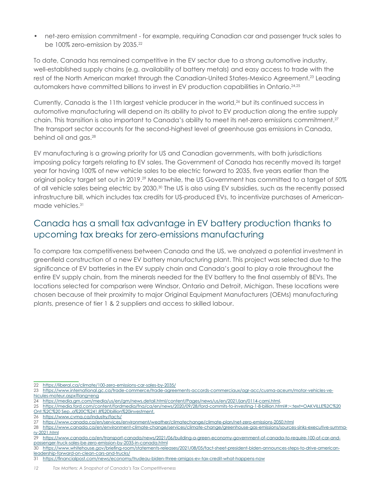• net-zero emission commitment - for example, requiring Canadian car and passenger truck sales to be 100% zero-emission by 2035.<sup>22</sup>

To date, Canada has remained competitive in the EV sector due to a strong automotive industry, well-established supply chains (e.g. availability of battery metals) and easy access to trade with the rest of the North American market through the Canadian-United States-Mexico Agreement.<sup>23</sup> Leading automakers have committed billions to invest in EV production capabilities in Ontario.24,25

Currently, Canada is the 11th largest vehicle producer in the world,<sup>26</sup> but its continued success in automotive manufacturing will depend on its ability to pivot to EV production along the entire supply chain. This transition is also important to Canada's ability to meet its net-zero emissions commitment.27 The transport sector accounts for the second-highest level of greenhouse gas emissions in Canada, behind oil and gas.28

EV manufacturing is a growing priority for US and Canadian governments, with both jurisdictions imposing policy targets relating to EV sales. The Government of Canada has recently moved its target year for having 100% of new vehicle sales to be electric forward to 2035, five years earlier than the original policy target set out in 2019.29 Meanwhile, the US Government has committed to a target of 50% of all vehicle sales being electric by 2030.30 The US is also using EV subsidies, such as the recently passed infrastructure bill, which includes tax credits for US-produced EVs, to incentivize purchases of Americanmade vehicles.31

#### Canada has a small tax advantage in EV battery production thanks to upcoming tax breaks for zero-emissions manufacturing

To compare tax competitiveness between Canada and the US, we analyzed a potential investment in greenfield construction of a new EV battery manufacturing plant. This project was selected due to the significance of EV batteries in the EV supply chain and Canada's goal to play a role throughout the entire EV supply chain, from the minerals needed for the EV battery to the final assembly of BEVs. The locations selected for comparison were Windsor, Ontario and Detroit, Michigan. These locations were chosen because of their proximity to major Original Equipment Manufacturers (OEMs) manufacturing plants, presence of tier 1 & 2 suppliers and access to skilled labour.

<sup>22</sup> https://liberal.ca/climate/100-zero-emissions-car-sales-by-2035/

<sup>23</sup> https://www.international.gc.ca/trade-commerce/trade-agreements-accords-commerciaux/agr-acc/cusma-aceum/motor-vehicles-ve-

hicules-moteur.aspx?lang=eng

<sup>24</sup> https://media.gm.com/media/us/en/gm/news.detail.html/content/Pages/news/us/en/2021/jan/0114-cami.html,

<sup>25</sup> https://media.ford.com/content/fordmedia/fna/ca/en/news/2020/09/28/ford-commits-to-investing-1-8-billion.html#:~:text=OAKVILLE%2C%20

Ont.%2C%20 Sep.,a%20C%241.8%2Dbillion%20investment.

<sup>26</sup> https://www.cvma.ca/industry/facts/

<sup>27</sup> https://www.canada.ca/en/services/environment/weather/climatechange/climate-plan/net-zero-emissions-2050.html

<sup>28</sup> https://www.canada.ca/en/environment-climate-change/services/climate-change/greenhouse-gas-emissions/sources-sinks-executive-summary-2021.html

<sup>29</sup> https://www.canada.ca/en/transport-canada/news/2021/06/building-a-green-economy-government-of-canada-to-require-100-of-car-andpassenger-truck-sales-be-zero-emission-by-2035-in-canada.html

<sup>30</sup> https://www.whitehouse.gov/briefing-room/statements-releases/2021/08/05/fact-sheet-president-biden-announces-steps-to-drive-americanleadership-forward-on-clean-cars-and-trucks/

<sup>31</sup> https://financialpost.com/news/economy/trudeau-biden-three-amigos-ev-tax-credit-what-happens-now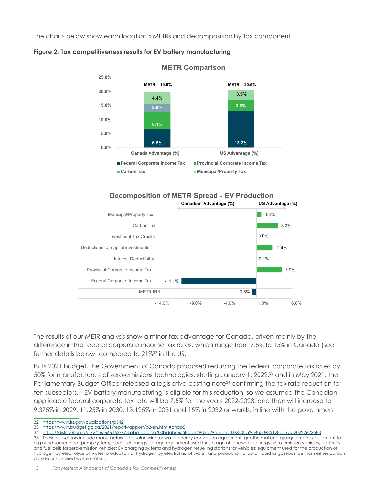The charts below show each location's METRs and decomposition by tax component.



#### **Figure 2: Tax competitiveness results for EV battery manufacturing**





The results of our METR analysis show a minor tax advantage for Canada, driven mainly by the difference in the federal corporate income tax rates, which range from 7.5% to 15% in Canada (see further details below) compared to 21%<sup>32</sup> in the US.

In its 2021 budget, the Government of Canada proposed reducing the federal corporate tax rates by 50% for manufacturers of zero-emissions technologies, starting January 1, 2022,33 and in May 2021, the Parliamentary Budget Officer released a legislative costing note<sup>34</sup> confirming the tax rate reduction for ten subsectors.35 EV battery manufacturing is eligible for this reduction, so we assumed the Canadian applicable federal corporate tax rate will be 7.5% for the years 2022-2028, and then will increase to 9.375% in 2029, 11.25% in 2030, 13.125% in 2031 and 15% in 2032 onwards, in line with the government

32 https://www.irs.gov/publications/p542

<sup>33</sup> https://www.budget.gc.ca/2021/report-rapport/p2-en.html#chap5

<sup>34</sup> https://distribution-a617274656661637473.pbo-dpb.ca/00bdabc6558bde29d3a29feebef100230fa9954a50985128ba9bb20222622b88

<sup>35</sup> These subsectors include manufacturing of: solar, wind or water energy conversion equipment; geothermal energy equipment; equipment for a ground source heat pump system; electrical energy storage equipment used for storage of renewable energy; zero-emission vehicles; batteries and fuel cells for zero-emission vehicles; EV charging systems and hydrogen refuelling stations for vehicles; equipment used for the production of hydrogen by electrolysis of water; production of hydrogen by electrolysis of water; and production of solid, liquid or gaseous fuel from either carbon dioxide or specified waste material.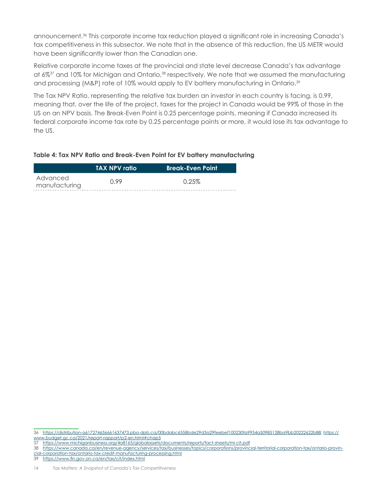announcement.36 This corporate income tax reduction played a significant role in increasing Canada's tax competitiveness in this subsector. We note that in the absence of this reduction, the US METR would have been significantly lower than the Canadian one.

Relative corporate income taxes at the provincial and state level decrease Canada's tax advantage at 6%37 and 10% for Michigan and Ontario,38 respectively. We note that we assumed the manufacturing and processing (M&P) rate of 10% would apply to EV battery manufacturing in Ontario.<sup>39</sup>

The Tax NPV Ratio, representing the relative tax burden an investor in each country is facing, is 0.99, meaning that, over the life of the project, taxes for the project in Canada would be 99% of those in the US on an NPV basis. The Break-Even Point is 0.25 percentage points, meaning if Canada increased its federal corporate income tax rate by 0.25 percentage points or more, it would lose its tax advantage to the US.

#### **Table 4: Tax NPV Ratio and Break-Even Point for EV battery manufacturing**

|                           | <b>TAX NPV ratio</b> | <b>Break-Even Point</b> |  |
|---------------------------|----------------------|-------------------------|--|
| Advanced<br>manufacturing | 0.99                 | 0.25%                   |  |

<sup>36</sup> https://distribution-a617274656661637473.pbo-dpb.ca/00bdabc6558bde29d3a29feebef100230fa9954a50985128ba9bb20222622b88; https:// www.budget.gc.ca/2021/report-rapport/p2-en.html#chap5

<sup>37</sup> https://www.michiganbusiness.org/4a8165/globalassets/documents/reports/fact-sheets/mi-cit.pdf

<sup>38</sup> https://www.canada.ca/en/revenue-agency/services/tax/businesses/topics/corporations/provincial-territorial-corporation-tax/ontario-provincial-corporation-tax/ontario-tax-credit-manufacturing-processing.html

<sup>39</sup> https://www.fin.gov.on.ca/en/tax/cit/index.html

*<sup>14</sup> Tax Matters: A Snapshot of Canada's Tax Competitiveness*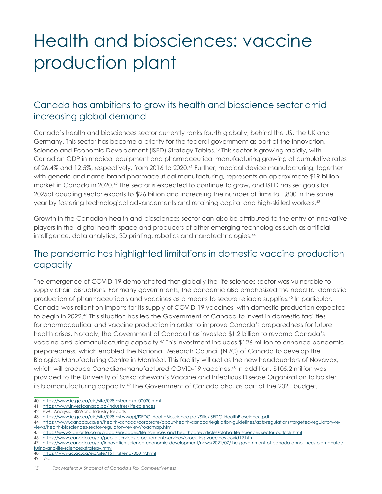# Health and biosciences: vaccine production plant

#### Canada has ambitions to grow its health and bioscience sector amid increasing global demand

Canada's health and biosciences sector currently ranks fourth globally, behind the US, the UK and Germany. This sector has become a priority for the federal government as part of the Innovation, Science and Economic Development (ISED) Strategy Tables.40 This sector is growing rapidly, with Canadian GDP in medical equipment and pharmaceutical manufacturing growing at cumulative rates of 26.4% and 12.5%, respectively, from 2016 to 2020.<sup>41</sup> Further, medical device manufacturing, together with generic and name-brand pharmaceutical manufacturing, represents an approximate \$19 billion market in Canada in 2020.42 The sector is expected to continue to grow, and ISED has set goals for 2025of doubling sector exports to \$26 billion and increasing the number of firms to 1,800 in the same year by fostering technological advancements and retaining capital and high-skilled workers.43

Growth in the Canadian health and biosciences sector can also be attributed to the entry of innovative players in the digital health space and producers of other emerging technologies such as artificial intelligence, data analytics, 3D printing, robotics and nanotechnologies.<sup>44</sup>

#### The pandemic has highlighted limitations in domestic vaccine production capacity

The emergence of COVID-19 demonstrated that globally the life sciences sector was vulnerable to supply chain disruptions. For many governments, the pandemic also emphasized the need for domestic production of pharmaceuticals and vaccines as a means to secure reliable supplies.45 In particular, Canada was reliant on imports for its supply of COVID-19 vaccines, with domestic production expected to begin in 2022.46 This situation has led the Government of Canada to invest in domestic facilities for pharmaceutical and vaccine production in order to improve Canada's preparedness for future health crises. Notably, the Government of Canada has invested \$1.2 billion to revamp Canada's vaccine and biomanufacturing capacity.47 This investment includes \$126 million to enhance pandemic preparedness, which enabled the National Research Council (NRC) of Canada to develop the Biologics Manufacturing Centre in Montréal. This facility will act as the new headquarters of Novavax, which will produce Canadian-manufactured COVID-19 vaccines.<sup>48</sup> In addition, \$105.2 million was provided to the University of Saskatchewan's Vaccine and Infectious Disease Organization to bolster its biomanufacturing capacity.<sup>49</sup> The Government of Canada also, as part of the 2021 budget,

40 https://www.ic.gc.ca/eic/site/098.nsf/eng/h\_00020.html

- 41 https://www.investcanada.ca/industries/life-sciences
- 42 PwC Analysis, IBISWorld Industry Reports

- 45 https://www2.deloitte.com/global/en/pages/life-sciences-and-healthcare/articles/global-life-sciences-sector-outlook.html<br>46 https://www.canada.ca/en/public-services-procurement/services/procuring-vaccines-covid19 html
- 46 https://www.canada.ca/en/public-services-procurement/services/procuring-vaccines-covid19.html

- 48 https://www.ic.gc.ca/eic/site/151.nsf/eng/00019.html
- 49 Ibid.

<sup>43</sup> https://www.ic.gc.ca/eic/site/098.nsf/vwapj/ISEDC\_HealthBioscience.pdf/\$file/ISEDC\_HealthBioscience.pdf

<sup>44</sup> https://www.canada.ca/en/health-canada/corporate/about-health-canada/legislation-guidelines/acts-regulations/targeted-regulatory-reviews/health-biosciences-sector-regulatory-review/roadmap.html

<sup>47</sup> https://www.canada.ca/en/innovation-science-economic-development/news/2021/07/the-government-of-canada-announces-biomanufacturing-and-life-sciences-strategy.html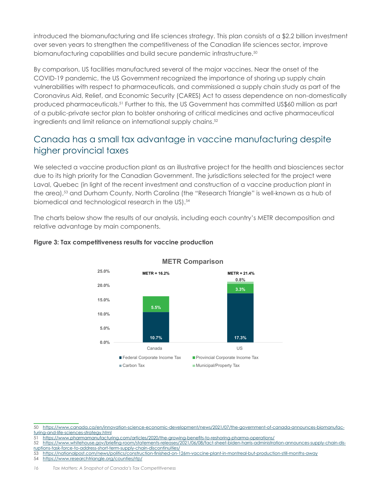introduced the biomanufacturing and life sciences strategy. This plan consists of a \$2.2 billion investment over seven years to strengthen the competitiveness of the Canadian life sciences sector, improve biomanufacturing capabilities and build secure pandemic infrastructure.<sup>50</sup>

By comparison, US facilities manufactured several of the major vaccines. Near the onset of the COVID-19 pandemic, the US Government recognized the importance of shoring up supply chain vulnerabilities with respect to pharmaceuticals, and commissioned a supply chain study as part of the Coronavirus Aid, Relief, and Economic Security (CARES) Act to assess dependence on non-domestically produced pharmaceuticals.51 Further to this, the US Government has committed US\$60 million as part of a public-private sector plan to bolster onshoring of critical medicines and active pharmaceutical ingredients and limit reliance on international supply chains.<sup>52</sup>

#### Canada has a small tax advantage in vaccine manufacturing despite higher provincial taxes

We selected a vaccine production plant as an illustrative project for the health and biosciences sector due to its high priority for the Canadian Government. The jurisdictions selected for the project were Laval, Quebec (in light of the recent investment and construction of a vaccine production plant in the area),<sup>53</sup> and Durham County, North Carolina (the "Research Triangle" is well-known as a hub of biomedical and technological research in the US).<sup>54</sup>

The charts below show the results of our analysis, including each country's METR decomposition and relative advantage by main components.



#### **Figure 3: Tax competitiveness results for vaccine production**

52 https://www.whitehouse.gov/briefing-room/statements-releases/2021/06/08/fact-sheet-biden-harris-administration-announces-supply-chain-disruptions-task-force-to-address-short-term-supply-chain-discontinuities/

54 https://www.researchtriangle.org/counties/rtp/

<sup>50</sup> https://www.canada.ca/en/innovation-science-economic-development/news/2021/07/the-government-of-canada-announces-biomanufacturing-and-life-sciences-strategy.html

https://www.pharmamanufacturing.com/articles/2020/the-growing-benefits-to-reshoring-pharma-operations/

<sup>53</sup> https://nationalpost.com/news/politics/construction-finished-on-126m-vaccine-plant-in-montreal-but-production-still-months-away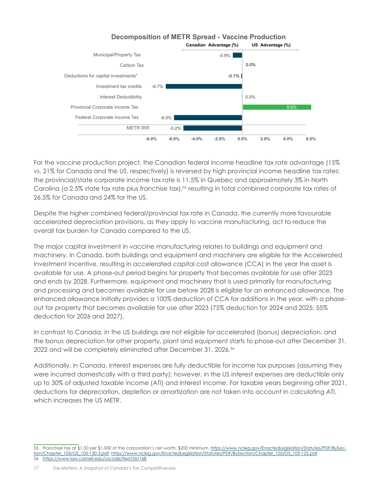

For the vaccine production project, the Canadian federal income headline tax rate advantage (15% vs. 21% for Canada and the US, respectively) is reversed by high provincial income headline tax rates: the provincial/state corporate income tax rate is 11.5% in Quebec and approximately 3% in North Carolina (a 2.5% state tax rate plus franchise tax),<sup>55</sup> resulting in total combined corporate tax rates of 26.5% for Canada and 24% for the US.

Despite the higher combined federal/provincial tax rate in Canada, the currently more favourable accelerated depreciation provisions, as they apply to vaccine manufacturing, act to reduce the overall tax burden for Canada compared to the US.

The major capital investment in vaccine manufacturing relates to buildings and equipment and machinery. In Canada, both buildings and equipment and machinery are eligible for the Accelerated Investment Incentive, resulting in accelerated capital cost allowance (CCA) in the year the asset is available for use. A phase-out period begins for property that becomes available for use after 2023 and ends by 2028. Furthermore, equipment and machinery that is used primarily for manufacturing and processing and becomes available for use before 2028 is eligible for an enhanced allowance. The enhanced allowance initially provides a 100% deduction of CCA for additions in the year, with a phaseout for property that becomes available for use after 2023 (75% deduction for 2024 and 2025; 55% deduction for 2026 and 2027).

In contrast to Canada, in the US buildings are not eligible for accelerated (bonus) depreciation, and the bonus depreciation for other property, plant and equipment starts to phase-out after December 31, 2022 and will be completely eliminated after December 31, 2026.<sup>56</sup>

Additionally, in Canada, interest expenses are fully deductible for income tax purposes (assuming they were incurred domestically with a third party); however, in the US interest expenses are deductible only up to 30% of adjusted taxable income (ATI) and interest income. For taxable years beginning after 2021, deductions for depreciation, depletion or amortization are not taken into account in calculating ATI, which increases the US METR.

<sup>55</sup> Franchise tax at \$1.50 per \$1,000 of the corporation's net worth, \$200 minimum. https://www.ncleg.gov/EnactedLegislation/Statutes/PDF/BySection/Chapter\_105/GS\_105-130.3.pdf; https://www.ncleg.gov/EnactedLegislation/Statutes/PDF/BySection/Chapter\_105/GS\_105-122.pdf 56 https://www.law.cornell.edu/uscode/text/26/168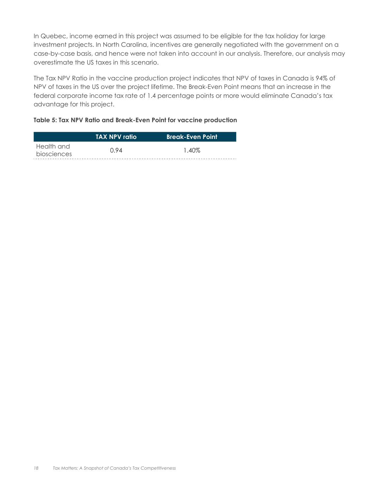In Quebec, income earned in this project was assumed to be eligible for the tax holiday for large investment projects. In North Carolina, incentives are generally negotiated with the government on a case-by-case basis, and hence were not taken into account in our analysis. Therefore, our analysis may overestimate the US taxes in this scenario.

The Tax NPV Ratio in the vaccine production project indicates that NPV of taxes in Canada is 94% of NPV of taxes in the US over the project lifetime. The Break-Even Point means that an increase in the federal corporate income tax rate of 1.4 percentage points or more would eliminate Canada's tax advantage for this project.

#### **Table 5: Tax NPV Ratio and Break-Even Point for vaccine production**

|             | \TAX NPV ratio <i>`</i> | <b>Break-Even Point</b> |
|-------------|-------------------------|-------------------------|
| Health and  | O 94                    | 1.40%                   |
| biosciences |                         |                         |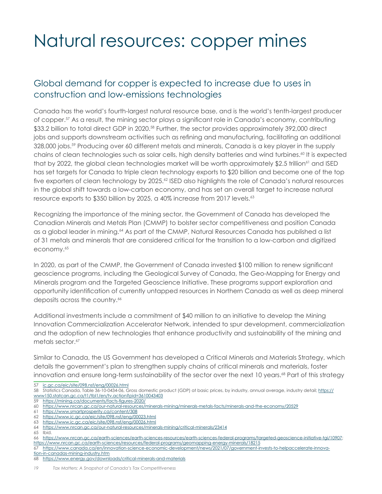# Natural resources: copper mines

#### Global demand for copper is expected to increase due to uses in construction and low-emissions technologies

Canada has the world's fourth-largest natural resource base, and is the world's tenth-largest producer of copper.57 As a result, the mining sector plays a significant role in Canada's economy, contributing \$33.2 billion to total direct GDP in 2020.58 Further, the sector provides approximately 392,000 direct jobs and supports downstream activities such as refining and manufacturing, facilitating an additional 328,000 jobs.<sup>59</sup> Producing over 60 different metals and minerals, Canada is a key player in the supply chains of clean technologies such as solar cells, high density batteries and wind turbines.<sup>60</sup> It is expected that by 2022, the global clean technologies market will be worth approximately \$2.5 trillion<sup>61</sup> and ISED has set targets for Canada to triple clean technology exports to \$20 billion and become one of the top five exporters of clean technology by 2025.<sup>62</sup> ISED also highlights the role of Canada's natural resources in the global shift towards a low-carbon economy, and has set an overall target to increase natural resource exports to \$350 billion by 2025, a 40% increase from 2017 levels.<sup>63</sup>

Recognizing the importance of the mining sector, the Government of Canada has developed the Canadian Minerals and Metals Plan (CMMP) to bolster sector competitiveness and position Canada as a global leader in mining.64 As part of the CMMP, Natural Resources Canada has published a list of 31 metals and minerals that are considered critical for the transition to a low-carbon and digitized economy.<sup>65</sup>

In 2020, as part of the CMMP, the Government of Canada invested \$100 million to renew significant geoscience programs, including the Geological Survey of Canada, the Geo-Mapping for Energy and Minerals program and the Targeted Geoscience Initiative. These programs support exploration and opportunity identification of currently untapped resources in Northern Canada as well as deep mineral deposits across the country.<sup>66</sup>

Additional investments include a commitment of \$40 million to an initiative to develop the Mining Innovation Commercialization Accelerator Network, intended to spur development, commercialization and the adoption of new technologies that enhance productivity and sustainability of the mining and metals sector.<sup>67</sup>

Similar to Canada, the US Government has developed a Critical Minerals and Materials Strategy, which details the government's plan to strengthen supply chains of critical minerals and materials, foster innovation and ensure long-term sustainability of the sector over the next 10 years.<sup>68</sup> Part of this strategy

57 ic.gc.ca/eic/site/098.nsf/eng/00026.html

62 https://www.ic.gc.ca/eic/site/098.nsf/eng/00023.html

65 Ibid.

- 67 https://www.canada.ca/en/innovation-science-economic-development/news/2021/07/government-invests-to-helpaccelerate-innova-
- tion-in-canadas-mining-industry.htm

<sup>58</sup> Statistics Canada, Table 36-10-0434-06, Gross domestic product (GDP) at basic prices, by industry, annual average, industry detail; https:// www150.statcan.gc.ca/t1/tbl1/en/tv.action?pid=3610043403

<sup>59</sup> https://mining.ca/documents/facts-figures-2020/

<sup>60</sup> https://www.nrcan.gc.ca/our-natural-resources/minerals-mining/minerals-metals-facts/minerals-and-the-economy/20529

https://www.smartprosperity.ca/content/308

<sup>63</sup> https://www.ic.gc.ca/eic/site/098.nsf/eng/00026.html

<sup>64</sup> https://www.nrcan.gc.ca/our-natural-resources/minerals-mining/critical-minerals/23414

<sup>66</sup> https://www.nrcan.gc.ca/earth-sciences/earth-sciences-resources/earth-sciences-federal-programs/targeted-geoscience-initiative-tgi/10907; https://www.nrcan.gc.ca/earth-sciences/resources/federal-programs/geomapping-energy-minerals/18215

<sup>68</sup> https://www.energy.gov/downloads/critical-minerals-and-materials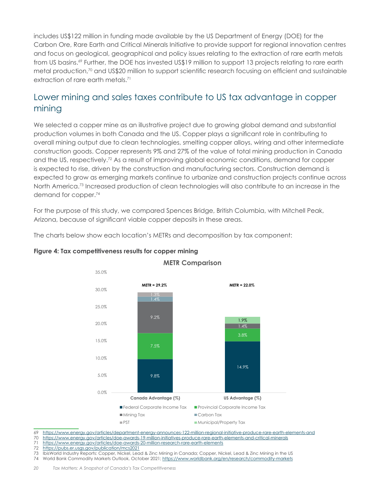includes US\$122 million in funding made available by the US Department of Energy (DOE) for the Carbon Ore, Rare Earth and Critical Minerals Initiative to provide support for regional innovation centres and focus on geological, geographical and policy issues relating to the extraction of rare earth metals from US basins.<sup>69</sup> Further, the DOE has invested US\$19 million to support 13 projects relating to rare earth metal production,<sup>70</sup> and US\$20 million to support scientific research focusing on efficient and sustainable extraction of rare earth metals.<sup>71</sup>

#### Lower mining and sales taxes contribute to US tax advantage in copper mining

We selected a copper mine as an illustrative project due to growing global demand and substantial production volumes in both Canada and the US. Copper plays a significant role in contributing to overall mining output due to clean technologies, smelting copper alloys, wiring and other intermediate construction goods. Copper represents 9% and 27% of the value of total mining production in Canada and the US, respectively.<sup>72</sup> As a result of improving global economic conditions, demand for copper is expected to rise, driven by the construction and manufacturing sectors. Construction demand is expected to grow as emerging markets continue to urbanize and construction projects continue across North America.<sup>73</sup> Increased production of clean technologies will also contribute to an increase in the demand for copper.74

For the purpose of this study, we compared Spences Bridge, British Columbia, with Mitchell Peak, Arizona, because of significant viable copper deposits in these areas.

The charts below show each location's METRs and decomposition by tax component:



#### **Figure 4: Tax competitiveness results for copper mining**

69 https://www.energy.gov/articles/department-energy-announces-122-million-regional-initiative-produce-rare-earth-elements-and

#### 70 https://www.energy.gov/articles/doe-awards-19-million-initiatives-produce-rare-earth-elements-and-critical-minerals

https://www.energy.gov/articles/doe-awards-20-million-research-rare-earth-elements

72 https://pubs.er.usgs.gov/publication/mcs2021

74 World Bank Commodity Markets Outlook, October 2021; https://www.worldbank.org/en/research/commodity-markets

<sup>73</sup> IbisWorld Industry Reports: Copper, Nickel, Lead & Zinc Mining in Canada; Copper, Nickel, Lead & Zinc Mining in the US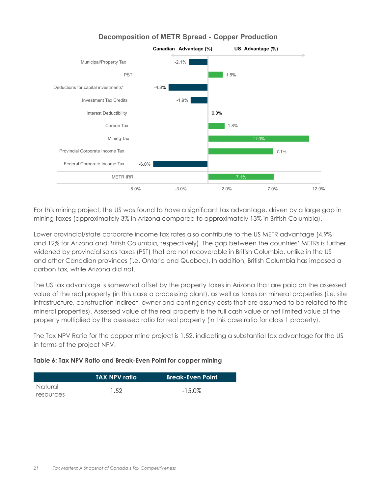

#### **Decomposition of METR Spread - Copper Production**

For this mining project, the US was found to have a significant tax advantage, driven by a large gap in mining taxes (approximately 3% in Arizona compared to approximately 13% in British Columbia).

Lower provincial/state corporate income tax rates also contribute to the US METR advantage (4.9% and 12% for Arizona and British Columbia, respectively). The gap between the countries' METRs is further widened by provincial sales taxes (PST) that are not recoverable in British Columbia, unlike in the US and other Canadian provinces (i.e. Ontario and Quebec). In addition, British Columbia has imposed a carbon tax, while Arizona did not.

The US tax advantage is somewhat offset by the property taxes in Arizona that are paid on the assessed value of the real property (in this case a processing plant), as well as taxes on mineral properties (i.e. site infrastructure, construction indirect, owner and contingency costs that are assumed to be related to the mineral properties). Assessed value of the real property is the full cash value or net limited value of the property multiplied by the assessed ratio for real property (in this case ratio for class 1 property).

The Tax NPV Ratio for the copper mine project is 1.52, indicating a substantial tax advantage for the US in terms of the project NPV.

#### **Table 6: Tax NPV Ratio and Break-Even Point for copper mining**

|           | <b>TAX NPV ratio</b> | <b>Break-Even Point</b> |
|-----------|----------------------|-------------------------|
| Natural   | 1.52                 | $-15.0\%$               |
| resources |                      |                         |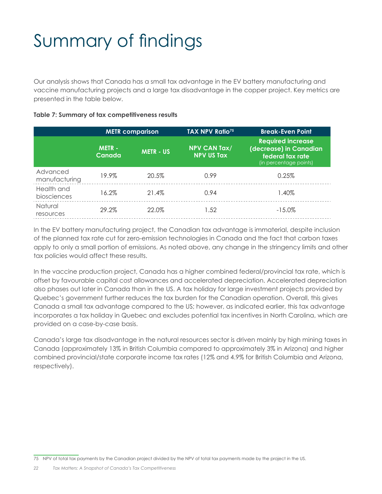# Summary of findings

Our analysis shows that Canada has a small tax advantage in the EV battery manufacturing and vaccine manufacturing projects and a large tax disadvantage in the copper project. Key metrics are presented in the table below.

#### **Table 7: Summary of tax competitiveness results**

|                           |                        | <b>METR</b> comparison | TAX NPV Ratio <sup>75</sup>              | <b>Break-Even Point</b>                                                                          |
|---------------------------|------------------------|------------------------|------------------------------------------|--------------------------------------------------------------------------------------------------|
|                           | <b>METR-</b><br>Canada | <b>METR - US</b>       | <b>NPV CAN Tax/</b><br><b>NPV US Tax</b> | <b>Required increase</b><br>(decrease) in Canadian<br>federal tax rate<br>(in percentage points) |
| Advanced<br>manufacturing | 19.9%                  | 20.5%                  | 0.99                                     | 0.25%                                                                                            |
| Health and<br>biosciences | 16.2%                  | 21.4%                  | 0.94                                     | l.40%                                                                                            |
| Natural<br>resources      | 29.2%                  | 22.0%                  | 1.52                                     | $-15.0\%$                                                                                        |

In the EV battery manufacturing project, the Canadian tax advantage is immaterial, despite inclusion of the planned tax rate cut for zero-emission technologies in Canada and the fact that carbon taxes apply to only a small portion of emissions. As noted above, any change in the stringency limits and other tax policies would affect these results.

In the vaccine production project, Canada has a higher combined federal/provincial tax rate, which is offset by favourable capital cost allowances and accelerated depreciation. Accelerated depreciation also phases out later in Canada than in the US. A tax holiday for large investment projects provided by Quebec's government further reduces the tax burden for the Canadian operation. Overall, this gives Canada a small tax advantage compared to the US; however, as indicated earlier, this tax advantage incorporates a tax holiday in Quebec and excludes potential tax incentives in North Carolina, which are provided on a case-by-case basis.

Canada's large tax disadvantage in the natural resources sector is driven mainly by high mining taxes in Canada (approximately 13% in British Columbia compared to approximately 3% in Arizona) and higher combined provincial/state corporate income tax rates (12% and 4.9% for British Columbia and Arizona, respectively).

<sup>75</sup> NPV of total tax payments by the Canadian project divided by the NPV of total tax payments made by the project in the US.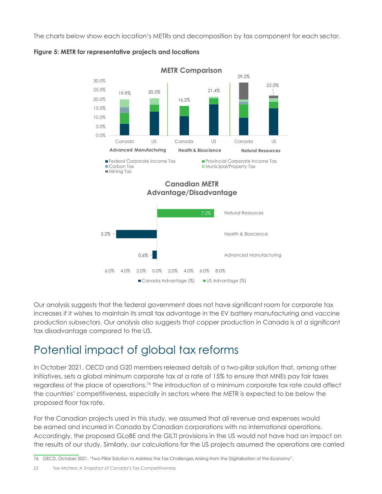The charts below show each location's METRs and decomposition by tax component for each sector.





Our analysis suggests that the federal government does not have significant room for corporate tax increases if it wishes to maintain its small tax advantage in the EV battery manufacturing and vaccine production subsectors. Our analysis also suggests that copper production in Canada is at a significant tax disadvantage compared to the US.

## Potential impact of global tax reforms

In October 2021, OECD and G20 members released details of a two-pillar solution that, among other initiatives, sets a global minimum corporate tax at a rate of 15% to ensure that MNEs pay fair taxes regardless of the place of operations.76 The introduction of a minimum corporate tax rate could affect the countries' competitiveness, especially in sectors where the METR is expected to be below the proposed floor tax rate.

For the Canadian projects used in this study, we assumed that all revenue and expenses would be earned and incurred in Canada by Canadian corporations with no international operations. Accordingly, the proposed GLoBE and the GILTI provisions in the US would not have had an impact on the results of our study. Similarly, our calculations for the US projects assumed the operations are carried

76 OECD, October 2021. "Two-Pillar Solution to Address the Tax Challenges Arising from the Digitalisation of the Economy".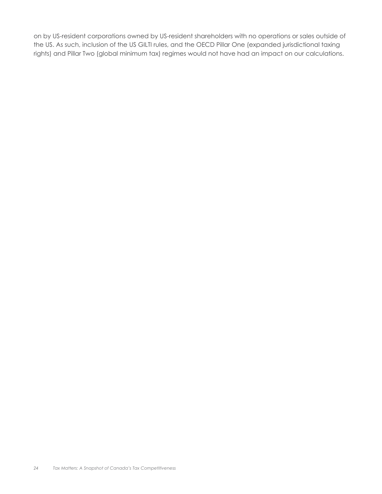on by US-resident corporations owned by US-resident shareholders with no operations or sales outside of the US. As such, inclusion of the US GILTI rules, and the OECD Pillar One (expanded jurisdictional taxing rights) and Pillar Two (global minimum tax) regimes would not have had an impact on our calculations.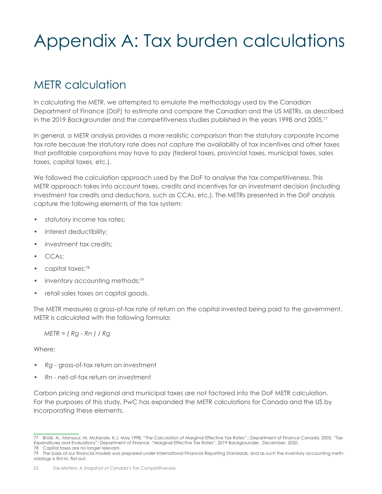# Appendix A: Tax burden calculations

### METR calculation

In calculating the METR, we attempted to emulate the methodology used by the Canadian Department of Finance (DoF) to estimate and compare the Canadian and the US METRs, as described in the 2019 Backgrounder and the competitiveness studies published in the years 1998 and 2005.<sup>77</sup>

In general, a METR analysis provides a more realistic comparison than the statutory corporate income tax rate because the statutory rate does not capture the availability of tax incentives and other taxes that profitable corporations may have to pay (federal taxes, provincial taxes, municipal taxes, sales taxes, capital taxes, etc.).

We followed the calculation approach used by the DoF to analyse the tax competitiveness. This METR approach takes into account taxes, credits and incentives for an investment decision (including investment tax credits and deductions, such as CCAs, etc.). The METRs presented in the DoF analysis capture the following elements of the tax system:

- statutory income tax rates;
- interest deductibility;
- investment tax credits;
- CCAs;
- capital taxes:78
- inventory accounting methods;<sup>79</sup>
- retail sales taxes on capital goods.

The METR measures a gross-of-tax rate of return on the capital invested being paid to the government. METR is calculated with the following formula:

*METR = ( Rg - Rn ) / Rg*

Where:

- *• Rg* gross-of-tax return on investment
- *• Rn* net-of-tax return on investment

Carbon pricing and regional and municipal taxes are not factored into the DoF METR calculation. For the purposes of this study, PwC has expanded the METR calculations for Canada and the US by incorporating these elements.

<sup>77</sup> Brûlé, A., Mansour, M. McKenzie, K.J. May 1998. "The Calculation of Marginal Effective Tax Rates".; Department of Finance Canada. 2005. "Tax Expenditures and Evaluations"; Department of Finance. "Marginal Effective Tax Rates". 2019 Backgrounder, December, 2020. 78 Capital taxes are no longer relevant.

<sup>79</sup> The basis of our financial models was prepared under International Financial Reporting Standards, and as such the inventory accounting methodology is first-in, first-out.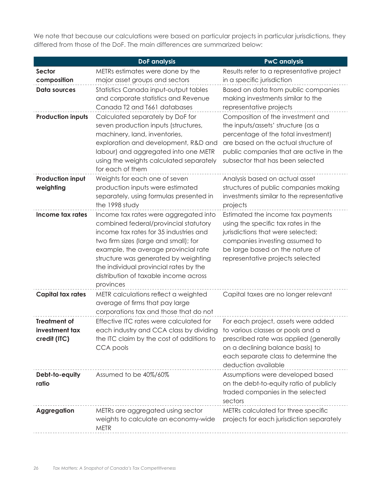We note that because our calculations were based on particular projects in particular jurisdictions, they differed from those of the DoF. The main differences are summarized below:

|                                                       | <b>DoF</b> analysis                                                                                                                                                                                                                                                                                                                               | <b>PwC</b> analysis                                                                                                                                                                                                                   |
|-------------------------------------------------------|---------------------------------------------------------------------------------------------------------------------------------------------------------------------------------------------------------------------------------------------------------------------------------------------------------------------------------------------------|---------------------------------------------------------------------------------------------------------------------------------------------------------------------------------------------------------------------------------------|
| Sector                                                | METRs estimates were done by the                                                                                                                                                                                                                                                                                                                  | Results refer to a representative project                                                                                                                                                                                             |
| composition                                           | major asset groups and sectors                                                                                                                                                                                                                                                                                                                    | in a specific jurisdiction                                                                                                                                                                                                            |
| <b>Data sources</b>                                   | Statistics Canada input-output tables<br>and corporate statistics and Revenue<br>Canada T2 and T661 databases                                                                                                                                                                                                                                     | Based on data from public companies<br>making investments similar to the<br>representative projects                                                                                                                                   |
| <b>Production inputs</b>                              | Calculated separately by DoF for<br>seven production inputs (structures,<br>machinery, land, inventories,<br>exploration and development, R&D and<br>labour) and aggregated into one METR<br>using the weights calculated separately<br>for each of them                                                                                          | Composition of the investment and<br>the inputs/assets' structure (as a<br>percentage of the total investment)<br>are based on the actual structure of<br>public companies that are active in the<br>subsector that has been selected |
| <b>Production input</b><br>weighting                  | Weights for each one of seven<br>production inputs were estimated<br>separately, using formulas presented in<br>the 1998 study                                                                                                                                                                                                                    | Analysis based on actual asset<br>structures of public companies making<br>investments similar to the representative<br>projects                                                                                                      |
| Income tax rates                                      | Income tax rates were aggregated into<br>combined federal/provincial statutory<br>income tax rates for 35 industries and<br>two firm sizes (large and small); for<br>example, the average provincial rate<br>structure was generated by weighting<br>the individual provincial rates by the<br>distribution of taxable income across<br>provinces | Estimated the income tax payments<br>using the specific tax rates in the<br>jurisdictions that were selected;<br>companies investing assumed to<br>be large based on the nature of<br>representative projects selected                |
| <b>Capital tax rates</b>                              | METR calculations reflect a weighted<br>average of firms that pay large<br>corporations tax and those that do not                                                                                                                                                                                                                                 | Capital taxes are no longer relevant                                                                                                                                                                                                  |
| <b>Treatment of</b><br>investment tax<br>credit (ITC) | Effective ITC rates were calculated for<br>each industry and CCA class by dividing<br>the ITC claim by the cost of additions to<br>CCA pools                                                                                                                                                                                                      | For each project, assets were added<br>to various classes or pools and a<br>prescribed rate was applied (generally<br>on a declining balance basis) to<br>each separate class to determine the<br>deduction available                 |
| Debt-to-equity<br>ratio                               | Assumed to be 40%/60%                                                                                                                                                                                                                                                                                                                             | Assumptions were developed based<br>on the debt-to-equity ratio of publicly<br>traded companies in the selected<br>sectors                                                                                                            |
| <b>Aggregation</b>                                    | METRs are aggregated using sector<br>weights to calculate an economy-wide<br><b>METR</b>                                                                                                                                                                                                                                                          | METRs calculated for three specific<br>projects for each jurisdiction separately                                                                                                                                                      |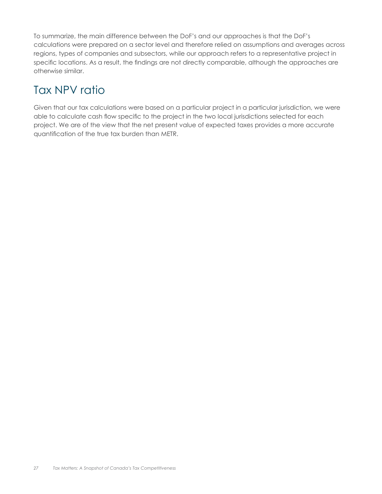To summarize, the main difference between the DoF's and our approaches is that the DoF's calculations were prepared on a sector level and therefore relied on assumptions and averages across regions, types of companies and subsectors, while our approach refers to a representative project in specific locations. As a result, the findings are not directly comparable, although the approaches are otherwise similar.

### Tax NPV ratio

Given that our tax calculations were based on a particular project in a particular jurisdiction, we were able to calculate cash flow specific to the project in the two local jurisdictions selected for each project. We are of the view that the net present value of expected taxes provides a more accurate quantification of the true tax burden than METR.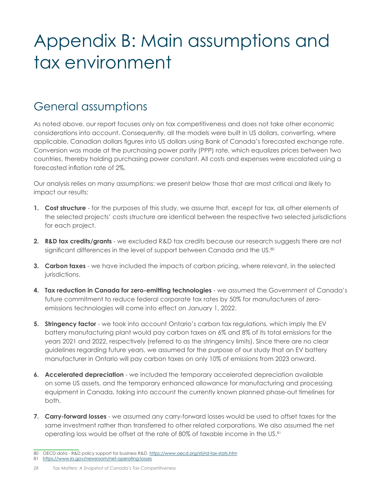# Appendix B: Main assumptions and tax environment

### General assumptions

As noted above, our report focuses only on tax competitiveness and does not take other economic considerations into account. Consequently, all the models were built in US dollars, converting, where applicable, Canadian dollars figures into US dollars using Bank of Canada's forecasted exchange rate. Conversion was made at the purchasing power parity (PPP) rate, which equalizes prices between two countries, thereby holding purchasing power constant. All costs and expenses were escalated using a forecasted inflation rate of 2%.

Our analysis relies on many assumptions; we present below those that are most critical and likely to impact our results:

- **1. Cost structure** for the purposes of this study, we assume that, except for tax, all other elements of the selected projects' costs structure are identical between the respective two selected jurisdictions for each project.
- **2. R&D tax credits/grants**  we excluded R&D tax credits because our research suggests there are not significant differences in the level of support between Canada and the US.<sup>80</sup>
- **3. Carbon taxes** we have included the impacts of carbon pricing, where relevant, in the selected jurisdictions.
- **4. Tax reduction in Canada for zero-emitting technologies**  we assumed the Government of Canada's future commitment to reduce federal corporate tax rates by 50% for manufacturers of zeroemissions technologies will come into effect on January 1, 2022.
- **5. Stringency factor** we took into account Ontario's carbon tax regulations, which imply the EV battery manufacturing plant would pay carbon taxes on 6% and 8% of its total emissions for the years 2021 and 2022, respectively (referred to as the stringency limits). Since there are no clear guidelines regarding future years, we assumed for the purpose of our study that an EV battery manufacturer in Ontario will pay carbon taxes on only 10% of emissions from 2023 onward.
- **6. Accelerated depreciation** we included the temporary accelerated depreciation available on some US assets, and the temporary enhanced allowance for manufacturing and processing equipment in Canada, taking into account the currently known planned phase-out timelines for both.
- **7. Carry-forward losses**  we assumed any carry-forward losses would be used to offset taxes for the same investment rather than transferred to other related corporations. We also assumed the net operating loss would be offset at the rate of 80% of taxable income in the US.81

<sup>80</sup> OECD data - R&D policy support for business R&D. https://www.oecd.org/sti/rd-tax-stats.htm

<sup>81</sup> https://www.irs.gov/newsroom/net-operating-losses

*<sup>28</sup> Tax Matters: A Snapshot of Canada's Tax Competitiveness*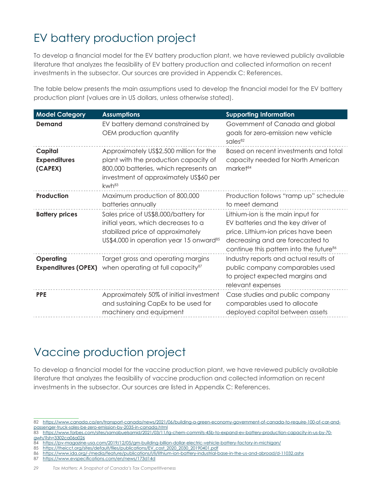# EV battery production project

To develop a financial model for the EV battery production plant, we have reviewed publicly available literature that analyzes the feasibility of EV battery production and collected information on recent investments in the subsector. Our sources are provided in Appendix C: References.

The table below presents the main assumptions used to develop the financial model for the EV battery production plant (values are in US dollars, unless otherwise stated).

| <b>Model Category</b>                     | <b>Assumptions</b>                                                                                                                                                                 | <b>Supporting Information</b>                                                                                                                                                                             |
|-------------------------------------------|------------------------------------------------------------------------------------------------------------------------------------------------------------------------------------|-----------------------------------------------------------------------------------------------------------------------------------------------------------------------------------------------------------|
| Demand                                    | EV battery demand constrained by<br>OEM production quantity                                                                                                                        | Government of Canada and global<br>goals for zero-emission new vehicle<br>sales <sup>82</sup>                                                                                                             |
| Capital<br><b>Expenditures</b><br>(CAPEX) | Approximately US\$2,500 million for the<br>plant with the production capacity of<br>800,000 batteries, which represents an<br>investment of approximately US\$60 per<br>$kwh^{83}$ | Based on recent investments and total<br>capacity needed for North American<br>market <sup>84</sup>                                                                                                       |
| <b>Production</b>                         | Maximum production of 800,000<br>batteries annually                                                                                                                                | Production follows "ramp up" schedule<br>to meet demand                                                                                                                                                   |
| <b>Battery prices</b>                     | Sales price of US\$8,000/battery for<br>initial years, which decreases to a<br>stabilized price of approximately<br>US\$4,000 in operation year 15 onward <sup>85</sup>            | Lithium-ion is the main input for<br>EV batteries and the key driver of<br>price. Lithium-ion prices have been<br>decreasing and are forecasted to<br>continue this pattern into the future <sup>86</sup> |
| <b>Operating</b>                          | Target gross and operating margins<br><b>Expenditures (OPEX)</b> when operating at full capacity <sup>87</sup>                                                                     | Industry reports and actual results of<br>public company comparables used<br>to project expected margins and<br>relevant expenses                                                                         |
| <b>PPE</b>                                | Approximately 50% of initial investment<br>and sustaining CapEx to be used for<br>machinery and equipment                                                                          | Case studies and public company<br>comparables used to allocate<br>deployed capital between assets                                                                                                        |

### Vaccine production project

To develop a financial model for the vaccine production plant, we have reviewed publicly available literature that analyzes the feasibility of vaccine production and collected information on recent investments in the subsector. Our sources are listed in Appendix C: References.

87 https://www.evspecifications.com/en/news/173d14d

<sup>82</sup> https://www.canada.ca/en/transport-canada/news/2021/06/building-a-green-economy-government-of-canada-to-require-100-of-car-andpassenger-truck-sales-be-zero-emission-by-2035-in-canada.html

<sup>83</sup> https://www.forbes.com/sites/samabuelsamid/2021/03/11/lg-chem-commits-45b-to-expand-ev-battery-production-capacity-in-us-by-70 gwh/?sh=3302ca06a026

<sup>84</sup> https://pv-magazine-usa.com/2019/12/05/gm-building-billion-dollar-electric-vehicle-battery-factory-in-michigan/

<sup>85</sup> https://theicct.org/sites/default/files/publications/EV\_cost\_2020\_2030\_20190401.pdf

<sup>86</sup> https://www.ida.org/-/media/feature/publications/l/li/lithium-ion-battery-industrial-base-in-the-us-and-abroad/d-11032.ashx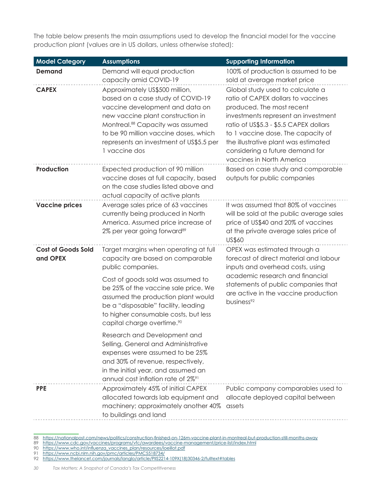The table below presents the main assumptions used to develop the financial model for the vaccine production plant (values are in US dollars, unless otherwise stated):

| <b>Model Category</b>                 | <b>Assumptions</b>                                                                                                                                                                                                                                                                                                                                                                                                | <b>Supporting Information</b>                                                                                                                                                                                                                                                                                                      |
|---------------------------------------|-------------------------------------------------------------------------------------------------------------------------------------------------------------------------------------------------------------------------------------------------------------------------------------------------------------------------------------------------------------------------------------------------------------------|------------------------------------------------------------------------------------------------------------------------------------------------------------------------------------------------------------------------------------------------------------------------------------------------------------------------------------|
| <b>Demand</b>                         | Demand will equal production<br>capacity amid COVID-19                                                                                                                                                                                                                                                                                                                                                            | 100% of production is assumed to be<br>sold at average market price                                                                                                                                                                                                                                                                |
| <b>CAPEX</b>                          | Approximately US\$500 million,<br>based on a case study of COVID-19<br>vaccine development and data on<br>new vaccine plant construction in<br>Montreal. <sup>88</sup> Capacity was assumed<br>to be 90 million vaccine doses, which<br>represents an investment of US\$5.5 per<br>1 vaccine dos                                                                                                                  | Global study used to calculate a<br>ratio of CAPEX dollars to vaccines<br>produced. The most recent<br>investments represent an investment<br>ratio of US\$5.3 - \$5.5 CAPEX dollars<br>to 1 vaccine dose. The capacity of<br>the illustrative plant was estimated<br>considering a future demand for<br>vaccines in North America |
| Production                            | Expected production of 90 million<br>vaccine doses at full capacity, based<br>on the case studies listed above and<br>actual capacity of active plants                                                                                                                                                                                                                                                            | Based on case study and comparable<br>outputs for public companies                                                                                                                                                                                                                                                                 |
| <b>Vaccine prices</b>                 | Average sales price of 63 vaccines<br>currently being produced in North<br>America. Assumed price increase of<br>2% per year going forward <sup>89</sup>                                                                                                                                                                                                                                                          | It was assumed that 80% of vaccines<br>will be sold at the public average sales<br>price of US\$40 and 20% of vaccines<br>at the private average sales price of<br>US\$60                                                                                                                                                          |
| <b>Cost of Goods Sold</b><br>and OPEX | Target margins when operating at full<br>capacity are based on comparable<br>public companies.<br>Cost of goods sold was assumed to<br>be 25% of the vaccine sale price. We<br>assumed the production plant would<br>be a "disposable" facility, leading<br>to higher consumable costs, but less<br>capital charge overtime. <sup>90</sup><br>Research and Development and<br>Selling, General and Administrative | OPEX was estimated through a<br>forecast of direct material and labour<br>inputs and overhead costs, using<br>academic research and financial<br>statements of public companies that<br>are active in the vaccine production<br>business <sup>92</sup>                                                                             |
| <b>PPE</b>                            | expenses were assumed to be 25%<br>and 30% of revenue, respectively,<br>in the initial year, and assumed an<br>annual cost inflation rate of 2% <sup>91</sup><br>Approximately 45% of initial CAPEX<br>allocated towards lab equipment and<br>machinery; approximately another 40%                                                                                                                                | Public company comparables used to<br>allocate deployed capital between<br>assets                                                                                                                                                                                                                                                  |
|                                       | to buildings and land                                                                                                                                                                                                                                                                                                                                                                                             |                                                                                                                                                                                                                                                                                                                                    |

88 https://nationalpost.com/news/politics/construction-finished-on-126m-vaccine-plant-in-montreal-but-production-still-months-away

90 https://www.who.int/influenza\_vaccines\_plan/resources/loeillot.pdf

<sup>89</sup> https://www.cdc.gov/vaccines/programs/vfc/awardees/vaccine-management/price-list/index.html

<sup>91</sup> https://www.ncbi.nlm.nih.gov/pmc/articles/PMC5518734/

<sup>92</sup> https://www.thelancet.com/journals/langlo/article/PIIS2214-109X(18)30346-2/fulltext#tables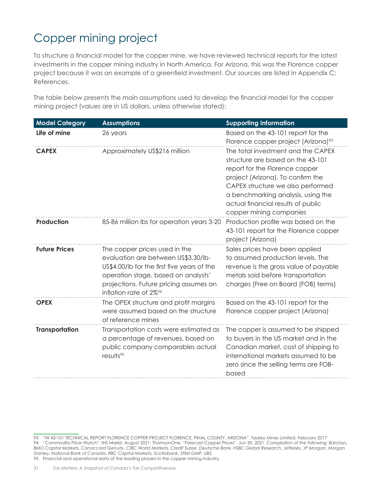# Copper mining project

To structure a financial model for the copper mine, we have reviewed technical reports for the latest investments in the copper mining industry in North America. For Arizona, this was the Florence copper project because it was an example of a greenfield investment. Our sources are listed in Appendix C: References.

The table below presents the main assumptions used to develop the financial model for the copper mining project (values are in US dollars, unless otherwise stated):

| <b>Model Category</b> | <b>Assumptions</b>                                                                                                                                                                                                                         | <b>Supporting Information</b>                                                                                                                                                                                                                                                              |
|-----------------------|--------------------------------------------------------------------------------------------------------------------------------------------------------------------------------------------------------------------------------------------|--------------------------------------------------------------------------------------------------------------------------------------------------------------------------------------------------------------------------------------------------------------------------------------------|
| Life of mine          | 26 years                                                                                                                                                                                                                                   | Based on the 43-101 report for the                                                                                                                                                                                                                                                         |
|                       |                                                                                                                                                                                                                                            | Florence copper project (Arizona) <sup>93</sup>                                                                                                                                                                                                                                            |
| <b>CAPEX</b>          | Approximately US\$216 million                                                                                                                                                                                                              | The total investment and the CAPEX<br>structure are based on the 43-101<br>report for the Florence copper<br>project (Arizona). To confirm the<br>CAPEX structure we also performed<br>a benchmarking analysis, using the<br>actual financial results of public<br>copper mining companies |
| <b>Production</b>     | 85-86 million Ibs for operation years 3-20                                                                                                                                                                                                 | Production profile was based on the<br>43-101 report for the Florence copper<br>project (Arizona)                                                                                                                                                                                          |
| <b>Future Prices</b>  | The copper prices used in the<br>evaluation are between US\$3.30/lb-<br>US\$4.00/Ib for the first five years of the<br>operation stage, based on analysts'<br>projections. Future pricing assumes an<br>inflation rate of 2% <sup>94</sup> | Sales prices have been applied<br>to assumed production levels. The<br>revenue is the gross value of payable<br>metals sold before transportation<br>charges (Free on Board (FOB) terms)                                                                                                   |
| <b>OPEX</b>           | The OPEX structure and profit margins<br>were assumed based on the structure<br>of reference mines                                                                                                                                         | Based on the 43-101 report for the<br>Florence copper project (Arizona)                                                                                                                                                                                                                    |
| <b>Transportation</b> | Transportation costs were estimated as<br>a percentage of revenues, based on<br>public company comparables actual<br>results <sup>95</sup>                                                                                                 | The copper is assumed to be shipped<br>to buyers in the US market and in the<br>Canadian market, cost of shipping to<br>international markets assumed to be<br>zero since the selling terms are FOB-<br>based                                                                              |

<sup>93</sup> "NI 43-101 TECHNICAL REPORT FLORENCE COPPER PROJECT FLORENCE, PINAL COUNTY, ARIZONA". Taseko Mines Limited, February 2017 94 "Commodity Price Watch". IHS Markit, August 2021; ThomsonOne, "Forecast Copper Prices", Jun 30, 2021. *Compilation of the following; Barclays, BMO Capital Markets, Canaccord Genuity, CIBC World Markets, Credit Suisse, Deutsche Bank, HSBC Global Research, Jefferies, JP Morgan, Morgan Stanley, National Bank of Canada, RBC Capital Markets, Scotiabank, Stifel GMP, UBS.* 95 Financial and operational data of the leading players in the copper mining industry.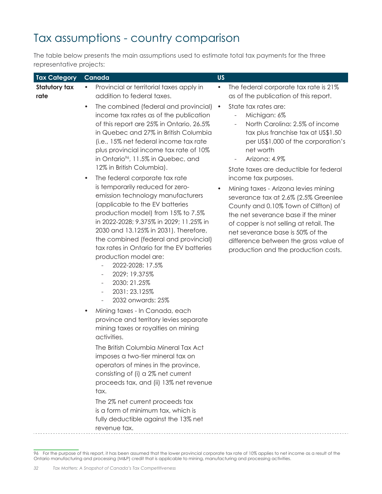### Tax assumptions - country comparison

The table below presents the main assumptions used to estimate total tax payments for the three representative projects:

| <b>Tax Category</b>   | Canada                                                                                                                                                                                                                                                                                                                                                                                                                                                                                                                                                                                                                                                                                                                                                                                                                                                                                                                                                                                                                                                                                                                                                                                                                                                                                                                                                                                                                                 | <b>US</b>                                                                                                                                                                                                                                                                                                                                                                                                                                                                                                                                                                                                                                                                                                                                               |
|-----------------------|----------------------------------------------------------------------------------------------------------------------------------------------------------------------------------------------------------------------------------------------------------------------------------------------------------------------------------------------------------------------------------------------------------------------------------------------------------------------------------------------------------------------------------------------------------------------------------------------------------------------------------------------------------------------------------------------------------------------------------------------------------------------------------------------------------------------------------------------------------------------------------------------------------------------------------------------------------------------------------------------------------------------------------------------------------------------------------------------------------------------------------------------------------------------------------------------------------------------------------------------------------------------------------------------------------------------------------------------------------------------------------------------------------------------------------------|---------------------------------------------------------------------------------------------------------------------------------------------------------------------------------------------------------------------------------------------------------------------------------------------------------------------------------------------------------------------------------------------------------------------------------------------------------------------------------------------------------------------------------------------------------------------------------------------------------------------------------------------------------------------------------------------------------------------------------------------------------|
| Statutory tax<br>rate | Provincial or territorial taxes apply in<br>$\bullet$<br>addition to federal taxes.<br>The combined (federal and provincial)<br>$\bullet$<br>income tax rates as of the publication<br>of this report are 25% in Ontario, 26.5%<br>in Quebec and 27% in British Columbia<br>(i.e., 15% net federal income tax rate<br>plus provincial income tax rate of 10%<br>in Ontario <sup>96</sup> , 11.5% in Quebec, and<br>12% in British Columbia).<br>The federal corporate tax rate<br>$\bullet$<br>is temporarily reduced for zero-<br>emission technology manufacturers<br>(applicable to the EV batteries<br>production model) from 15% to 7.5%<br>in 2022-2028; 9.375% in 2029; 11.25% in<br>2030 and 13.125% in 2031). Therefore,<br>the combined (federal and provincial)<br>tax rates in Ontario for the EV batteries<br>production model are:<br>2022-2028: 17.5%<br>2029: 19.375%<br>$\overline{\phantom{a}}$<br>2030: 21.25%<br>2031: 23.125%<br>2032 onwards: 25%<br>Mining taxes - In Canada, each<br>province and territory levies separate<br>mining taxes or royalties on mining<br>activities.<br>The British Columbia Mineral Tax Act<br>imposes a two-tier mineral tax on<br>operators of mines in the province,<br>consisting of (i) a 2% net current<br>proceeds tax, and (ii) 13% net revenue<br>tax.<br>The 2% net current proceeds tax<br>is a form of minimum tax, which is<br>fully deductible against the 13% net | The federal corporate tax rate is 21%<br>$\bullet$<br>as of the publication of this report.<br>State tax rates are:<br>$\bullet$<br>Michigan: 6%<br>$\frac{1}{2}$<br>North Carolina: 2.5% of income<br>$\overline{\phantom{a}}$<br>tax plus franchise tax at US\$1.50<br>per US\$1,000 of the corporation's<br>net worth<br>Arizona: 4.9%<br>State taxes are deductible for federal<br>income tax purposes.<br>Mining taxes - Arizona levies mining<br>$\bullet$<br>severance tax at 2.6% (2.5% Greenlee<br>County and 0.10% Town of Clifton) of<br>the net severance base if the miner<br>of copper is not selling at retail. The<br>net severance base is 50% of the<br>difference between the gross value of<br>production and the production costs. |
|                       | revenue tax.                                                                                                                                                                                                                                                                                                                                                                                                                                                                                                                                                                                                                                                                                                                                                                                                                                                                                                                                                                                                                                                                                                                                                                                                                                                                                                                                                                                                                           |                                                                                                                                                                                                                                                                                                                                                                                                                                                                                                                                                                                                                                                                                                                                                         |

<sup>96</sup> For the purpose of this report, it has been assumed that the lower provincial corporate tax rate of 10% applies to net income as a result of the Ontario manufacturing and processing (M&P) credit that is applicable to mining, manufacturing and processing activities.

 $\bar{\mathcal{L}}$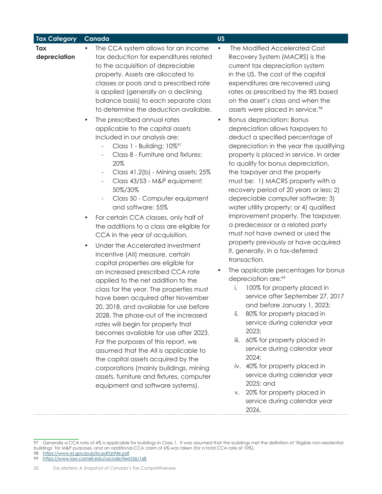| <b>Tax Category</b> | Canada                                                                                                                                                                                                                                                                                                                                                                                                                                                                                                                                                                                                                                                                                                                                                                                                                                                                                                                                                                                                                                                                                                                                                                                                                                                                                                                                                                                                                                                                                                                                                                                                                     | <b>US</b>                                                                                                                                                                                                                                                                                                                                                                                                                                                                                                                                                                                                                                                                                                                                                                                                                                                                                                                                                                                                                                                                                                                                                                                                                                                                                                                                                                                                                                                                                    |
|---------------------|----------------------------------------------------------------------------------------------------------------------------------------------------------------------------------------------------------------------------------------------------------------------------------------------------------------------------------------------------------------------------------------------------------------------------------------------------------------------------------------------------------------------------------------------------------------------------------------------------------------------------------------------------------------------------------------------------------------------------------------------------------------------------------------------------------------------------------------------------------------------------------------------------------------------------------------------------------------------------------------------------------------------------------------------------------------------------------------------------------------------------------------------------------------------------------------------------------------------------------------------------------------------------------------------------------------------------------------------------------------------------------------------------------------------------------------------------------------------------------------------------------------------------------------------------------------------------------------------------------------------------|----------------------------------------------------------------------------------------------------------------------------------------------------------------------------------------------------------------------------------------------------------------------------------------------------------------------------------------------------------------------------------------------------------------------------------------------------------------------------------------------------------------------------------------------------------------------------------------------------------------------------------------------------------------------------------------------------------------------------------------------------------------------------------------------------------------------------------------------------------------------------------------------------------------------------------------------------------------------------------------------------------------------------------------------------------------------------------------------------------------------------------------------------------------------------------------------------------------------------------------------------------------------------------------------------------------------------------------------------------------------------------------------------------------------------------------------------------------------------------------------|
| Tax<br>depreciation | The CCA system allows for an income<br>tax deduction for expenditures related<br>to the acquisition of depreciable<br>property. Assets are allocated to<br>classes or pools and a prescribed rate<br>is applied (generally on a declining<br>balance basis) to each separate class<br>to determine the deduction available.<br>The prescribed annual rates<br>$\bullet$<br>applicable to the capital assets<br>included in our analysis are:<br>Class 1 - Building: 10% <sup>97</sup><br>$\frac{1}{2}$<br>Class 8 - Furniture and fixtures:<br>20%<br>Class 41.2(b) - Mining assets: 25%<br>$\overline{\phantom{a}}$<br>Class 43/53 - M&P equipment:<br>$\overline{\phantom{a}}$<br>50%/30%<br>Class 50 - Computer equipment<br>$\overline{\phantom{0}}$<br>and software: 55%<br>For certain CCA classes, only half of<br>$\bullet$<br>the additions to a class are eligible for<br>CCA in the year of acquisition.<br>Under the Accelerated Investment<br>$\bullet$<br>Incentive (All) measure, certain<br>capital properties are eligible for<br>an increased prescribed CCA rate<br>applied to the net addition to the<br>class for the year. The properties must<br>have been acquired after November<br>20, 2018, and available for use before<br>2028. The phase-out of the increased<br>rates will begin for property that<br>becomes available for use after 2023.<br>For the purposes of this report, we<br>assumed that the All is applicable to<br>the capital assets acquired by the<br>corporations (mainly buildings, mining<br>assets, furniture and fixtures, computer<br>equipment and software systems). | The Modified Accelerated Cost<br>$\bullet$<br>Recovery System (MACRS) is the<br>current tax depreciation system<br>in the US. The cost of the capital<br>expenditures are recovered using<br>rates as prescribed by the IRS based<br>on the asset's class and when the<br>assets were placed in service. <sup>98</sup><br><b>Bonus depreciation: Bonus</b><br>$\bullet$<br>depreciation allows taxpayers to<br>deduct a specified percentage of<br>depreciation in the year the qualifying<br>property is placed in service. In order<br>to qualify for bonus depreciation,<br>the taxpayer and the property<br>must be: 1) MACRS property with a<br>recovery period of 20 years or less; 2)<br>depreciable computer software; 3)<br>water utility property; or 4) qualified<br>improvement property. The taxpayer,<br>a predecessor or a related party<br>must not have owned or used the<br>property previously or have acquired<br>it, generally, in a tax-deferred<br>transaction.<br>The applicable percentages for bonus<br>depreciation are: <sup>99</sup><br>100% for property placed in<br>Ι.<br>service after September 27, 2017<br>and before January 1, 2023;<br>ii. 80% for property placed in<br>service during calendar year<br>2023;<br>60% for property placed in<br>iii.<br>service during calendar year<br>2024;<br>iv. 40% for property placed in<br>service during calendar year<br>2025; and<br>v. 20% for property placed in<br>service during calendar year<br>2026. |
|                     |                                                                                                                                                                                                                                                                                                                                                                                                                                                                                                                                                                                                                                                                                                                                                                                                                                                                                                                                                                                                                                                                                                                                                                                                                                                                                                                                                                                                                                                                                                                                                                                                                            |                                                                                                                                                                                                                                                                                                                                                                                                                                                                                                                                                                                                                                                                                                                                                                                                                                                                                                                                                                                                                                                                                                                                                                                                                                                                                                                                                                                                                                                                                              |

<sup>97</sup> Generally a CCA rate of 4% is applicable for buildings in Class 1. It was assumed that the buildings met the definition of 'Eligible non-residential buildings' for M&P purposes, and an additional CCA claim of 6% was taken (for a total CCA rate of 10%). 98 https://www.irs.gov/pub/irs-pdf/p946.pdf

<sup>99</sup> https://www.law.cornell.edu/uscode/text/26/168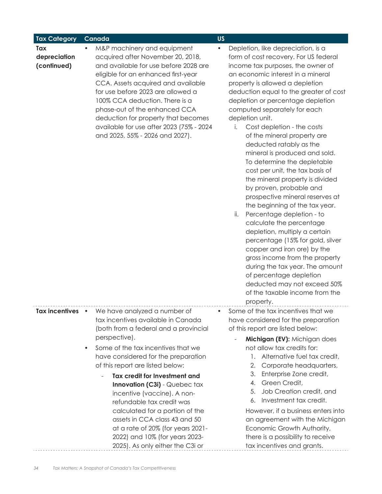| <b>Tax Category</b>                | Canada                                                                                                                                                                                                                                                                                                                                                                                                                                                                                                                                                          | <b>US</b>                                                                                                                                                                                                                                                                                                                                                                                                                                                                                                                                                                                                                                                                                                                                                                                                                                                                                                                                                                                                                     |
|------------------------------------|-----------------------------------------------------------------------------------------------------------------------------------------------------------------------------------------------------------------------------------------------------------------------------------------------------------------------------------------------------------------------------------------------------------------------------------------------------------------------------------------------------------------------------------------------------------------|-------------------------------------------------------------------------------------------------------------------------------------------------------------------------------------------------------------------------------------------------------------------------------------------------------------------------------------------------------------------------------------------------------------------------------------------------------------------------------------------------------------------------------------------------------------------------------------------------------------------------------------------------------------------------------------------------------------------------------------------------------------------------------------------------------------------------------------------------------------------------------------------------------------------------------------------------------------------------------------------------------------------------------|
| Tax<br>depreciation<br>(continued) | M&P machinery and equipment<br>acquired after November 20, 2018,<br>and available for use before 2028 are<br>eligible for an enhanced first-year<br>CCA. Assets acquired and available<br>for use before 2023 are allowed a<br>100% CCA deduction. There is a<br>phase-out of the enhanced CCA<br>deduction for property that becomes<br>available for use after 2023 (75% - 2024<br>and 2025, 55% - 2026 and 2027).                                                                                                                                            | Depletion, like depreciation, is a<br>$\bullet$<br>form of cost recovery. For US federal<br>income tax purposes, the owner of<br>an economic interest in a mineral<br>property is allowed a depletion<br>deduction equal to the greater of cost<br>depletion or percentage depletion<br>computed separately for each<br>depletion unit.<br>Cost depletion - the costs<br>i.<br>of the mineral property are<br>deducted ratably as the<br>mineral is produced and sold.<br>To determine the depletable<br>cost per unit, the tax basis of<br>the mineral property is divided<br>by proven, probable and<br>prospective mineral reserves at<br>the beginning of the tax year.<br>ii.<br>Percentage depletion - to<br>calculate the percentage<br>depletion, multiply a certain<br>percentage (15% for gold, silver<br>copper and iron ore) by the<br>gross income from the property<br>during the tax year. The amount<br>of percentage depletion<br>deducted may not exceed 50%<br>of the taxable income from the<br>property. |
| Tax incentives •                   | We have analyzed a number of<br>tax incentives available in Canada<br>(both from a federal and a provincial<br>perspective).<br>Some of the tax incentives that we<br>٠<br>have considered for the preparation<br>of this report are listed below:<br>Tax credit for Investment and<br>Innovation (C3i) - Quebec tax<br>incentive (vaccine). A non-<br>refundable tax credit was<br>calculated for a portion of the<br>assets in CCA class 43 and 50<br>at a rate of 20% (for years 2021-<br>2022) and 10% (for years 2023-<br>2025). As only either the C3i or | Some of the tax incentives that we<br>$\bullet$<br>have considered for the preparation<br>of this report are listed below:<br>Michigan (EV): Michigan does<br>not allow tax credits for:<br>Alternative fuel tax credit,<br>1.<br>Corporate headquarters,<br>2.<br>Enterprise Zone credit,<br>3.<br>Green Credit,<br>4.<br>Job Creation credit, and<br>5.<br>Investment tax credit.<br>6.<br>However, if a business enters into<br>an agreement with the Michigan<br>Economic Growth Authority,<br>there is a possibility to receive<br>tax incentives and grants.                                                                                                                                                                                                                                                                                                                                                                                                                                                            |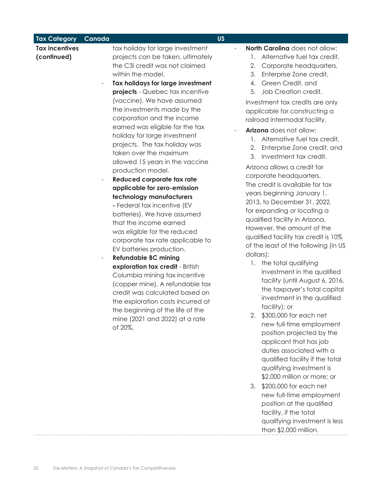| <b>Tax Category</b>                  | Canada                   |                                                                                                                                                                                                                                                                                                                                                                                                                                                                                                                                                                                                                                                                                                                                                                                                                                                                                                                                                                                                                                                                        | <b>US</b> |                                                                                                                                                                                                                                                                                                                                                                                                                                                                                                                                                                                                                                                                                                                                                                                                                                                                                                                                                                                                                                                                                                                                                                                                                            |
|--------------------------------------|--------------------------|------------------------------------------------------------------------------------------------------------------------------------------------------------------------------------------------------------------------------------------------------------------------------------------------------------------------------------------------------------------------------------------------------------------------------------------------------------------------------------------------------------------------------------------------------------------------------------------------------------------------------------------------------------------------------------------------------------------------------------------------------------------------------------------------------------------------------------------------------------------------------------------------------------------------------------------------------------------------------------------------------------------------------------------------------------------------|-----------|----------------------------------------------------------------------------------------------------------------------------------------------------------------------------------------------------------------------------------------------------------------------------------------------------------------------------------------------------------------------------------------------------------------------------------------------------------------------------------------------------------------------------------------------------------------------------------------------------------------------------------------------------------------------------------------------------------------------------------------------------------------------------------------------------------------------------------------------------------------------------------------------------------------------------------------------------------------------------------------------------------------------------------------------------------------------------------------------------------------------------------------------------------------------------------------------------------------------------|
| <b>Tax incentives</b><br>(continued) | $\overline{\phantom{a}}$ | tax holiday for large investment<br>projects can be taken, ultimately<br>the C3i credit was not claimed<br>within the model.<br>Tax holidays for large investment<br>projects - Quebec tax incentive<br>(vaccine). We have assumed<br>the investments made by the<br>corporation and the income<br>earned was eligible for the tax<br>holiday for large investment<br>projects. The tax holiday was<br>taken over the maximum<br>allowed 15 years in the vaccine<br>production model.<br>Reduced corporate tax rate<br>applicable for zero-emission<br>technology manufacturers<br>- Federal tax incentive (EV<br>batteries). We have assumed<br>that the income earned<br>was eligible for the reduced<br>corporate tax rate applicable to<br>EV batteries production.<br><b>Refundable BC mining</b><br>exploration tax credit - British<br>Columbia mining tax incentive<br>(copper mine). A refundable tax<br>credit was calculated based on<br>the exploration costs incurred at<br>the beginning of the life of the<br>mine (2021 and 2022) at a rate<br>of 20%. |           | North Carolina does not allow:<br>Alternative fuel tax credit,<br>1.<br>Corporate headquarters,<br>2.<br>Enterprise Zone credit,<br>3.<br>Green Credit, and<br>4.<br>Job Creation credit.<br>5.<br>Investment tax credits are only<br>applicable for constructing a<br>railroad intermodal facility.<br>Arizona does not allow:<br>Alternative fuel tax credit,<br>1.<br>Enterprise Zone credit, and<br>2.<br>Investment tax credit.<br>3.<br>Arizona allows a credit for<br>corporate headquarters.<br>The credit is available for tax<br>years beginning January 1,<br>2013, to December 31, 2022,<br>for expanding or locating a<br>qualified facility in Arizona.<br>However, the amount of the<br>qualified facility tax credit is 10%<br>of the least of the following (in US<br>dollars):<br>1. the total qualifying<br>investment in the qualified<br>facility (until August 6, 2016,<br>the taxpayer's total capital<br>investment in the qualified<br>facility); or<br>\$300,000 for each net<br>new full-time employment<br>position projected by the<br>applicant that has job<br>duties associated with a<br>qualified facility if the total<br>qualifying investment is<br>\$2,000 million or more; or<br>3. |
|                                      |                          |                                                                                                                                                                                                                                                                                                                                                                                                                                                                                                                                                                                                                                                                                                                                                                                                                                                                                                                                                                                                                                                                        |           | \$200,000 for each net<br>new full-time employment<br>position at the qualified<br>facility, if the total<br>qualifying investment is less<br>than \$2,000 million.                                                                                                                                                                                                                                                                                                                                                                                                                                                                                                                                                                                                                                                                                                                                                                                                                                                                                                                                                                                                                                                        |

. . . . . . . . . . .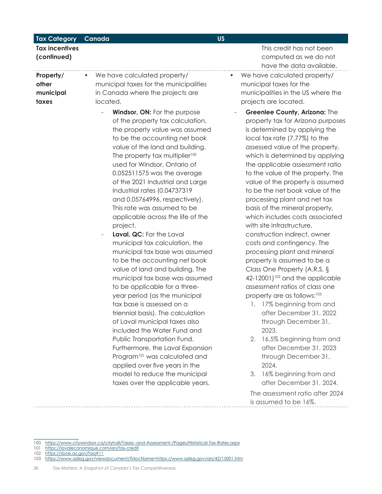| <b>Tax Category</b>                      | Canada                                                                                                                                                                                                                                                                                                                                                                                                                                                                                                                                                                                                                                                                                                                                                                                                                                                                                                                                                                                                                                                                                                            | <b>US</b>                                                                                                                                                                                                                                                                                                                                                                                                                                                                                                                                                                                                                                                                                                                                                                                                                                                                                                                                                                                                                               |
|------------------------------------------|-------------------------------------------------------------------------------------------------------------------------------------------------------------------------------------------------------------------------------------------------------------------------------------------------------------------------------------------------------------------------------------------------------------------------------------------------------------------------------------------------------------------------------------------------------------------------------------------------------------------------------------------------------------------------------------------------------------------------------------------------------------------------------------------------------------------------------------------------------------------------------------------------------------------------------------------------------------------------------------------------------------------------------------------------------------------------------------------------------------------|-----------------------------------------------------------------------------------------------------------------------------------------------------------------------------------------------------------------------------------------------------------------------------------------------------------------------------------------------------------------------------------------------------------------------------------------------------------------------------------------------------------------------------------------------------------------------------------------------------------------------------------------------------------------------------------------------------------------------------------------------------------------------------------------------------------------------------------------------------------------------------------------------------------------------------------------------------------------------------------------------------------------------------------------|
| <b>Tax incentives</b><br>(continued)     |                                                                                                                                                                                                                                                                                                                                                                                                                                                                                                                                                                                                                                                                                                                                                                                                                                                                                                                                                                                                                                                                                                                   | This credit has not been<br>computed as we do not<br>have the data available.                                                                                                                                                                                                                                                                                                                                                                                                                                                                                                                                                                                                                                                                                                                                                                                                                                                                                                                                                           |
| Property/<br>other<br>municipal<br>taxes | We have calculated property/<br>$\bullet$<br>municipal taxes for the municipalities<br>in Canada where the projects are<br>located.                                                                                                                                                                                                                                                                                                                                                                                                                                                                                                                                                                                                                                                                                                                                                                                                                                                                                                                                                                               | We have calculated property/<br>municipal taxes for the<br>municipalities in the US where the<br>projects are located.                                                                                                                                                                                                                                                                                                                                                                                                                                                                                                                                                                                                                                                                                                                                                                                                                                                                                                                  |
|                                          | <b>Windsor, ON: For the purpose</b><br>of the property tax calculation,<br>the property value was assumed<br>to be the accounting net book<br>value of the land and building.<br>The property tax multiplier <sup>100</sup><br>used for Windsor, Ontario of<br>0.052511575 was the average<br>of the 2021 Industrial and Large<br>Industrial rates (0.04737319<br>and 0.05764996, respectively).<br>This rate was assumed to be<br>applicable across the life of the<br>project.<br>Laval, QC: For the Laval<br>municipal tax calculation, the<br>municipal tax base was assumed<br>to be the accounting net book<br>value of land and building. The<br>municipal tax base was assumed<br>to be applicable for a three-<br>year period (as the municipal<br>tax base is assessed on a<br>triennial basis). The calculation<br>of Laval municipal taxes also<br>included the Water Fund and<br>Public Transportation Fund.<br>Furthermore, the Laval Expansion<br>Program <sup>101</sup> was calculated and<br>applied over five years in the<br>model to reduce the municipal<br>taxes over the applicable years. | Greenlee County, Arizona: The<br>property tax for Arizona purposes<br>is determined by applying the<br>local tax rate (7.77%) to the<br>assessed value of the property,<br>which is determined by applying<br>the applicable assessment ratio<br>to the value of the property. The<br>value of the property is assumed<br>to be the net book value of the<br>processing plant and net tax<br>basis of the mineral property,<br>which includes costs associated<br>with site infrastructure,<br>construction indirect, owner<br>costs and contingency. The<br>processing plant and mineral<br>property is assumed to be a<br>Class One Property (A.R.S. §<br>42-12001) <sup>102</sup> and the applicable<br>assessment ratios of class one<br>property are as follows: <sup>103</sup><br>1. 17% beginning from and<br>after December 31, 2022<br>through December 31,<br>2023.<br>16.5% beginning from and<br>2.<br>after December 31, 2023<br>through December 31,<br>2024.<br>16% beginning from and<br>3.<br>after December 31, 2024. |
|                                          |                                                                                                                                                                                                                                                                                                                                                                                                                                                                                                                                                                                                                                                                                                                                                                                                                                                                                                                                                                                                                                                                                                                   | The assessment ratio after 2024                                                                                                                                                                                                                                                                                                                                                                                                                                                                                                                                                                                                                                                                                                                                                                                                                                                                                                                                                                                                         |

The assessment ratio after 2024 is assumed to be 16%.

<sup>100</sup> https://www.citywindsor.ca/cityhall/Taxes--and-Assessment-/Pages/Historical-Tax-Rates.aspx

<sup>101</sup> https://lavaleconomique.com/en/tax-credit

<sup>102</sup> https://sboe.az.gov/faq#11

<sup>103</sup> https://www.azleg.gov/viewdocument/?docName=https://www.azleg.gov/ars/42/15001.htm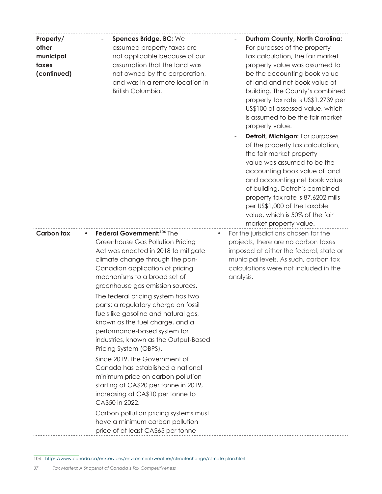| Property/<br>other<br>municipal<br>taxes<br>(continued) | Spences Bridge, BC: We<br>assumed property taxes are<br>not applicable because of our<br>assumption that the land was<br>not owned by the corporation,<br>and was in a remote location in<br>British Columbia.                                                                                                                                                                                                                                                                                                                                                                                                                                                                                                                                                                                                                                        | <b>Durham County, North Carolina:</b><br>For purposes of the property<br>tax calculation, the fair market<br>property value was assumed to<br>be the accounting book value<br>of land and net book value of<br>building. The County's combined<br>property tax rate is US\$1.2739 per<br>US\$100 of assessed value, which<br>is assumed to be the fair market<br>property value.<br>Detroit, Michigan: For purposes<br>of the property tax calculation,<br>the fair market property<br>value was assumed to be the<br>accounting book value of land<br>and accounting net book value<br>of building. Detroit's combined<br>property tax rate is 87.6202 mills<br>per US\$1,000 of the taxable<br>value, which is 50% of the fair<br>market property value. |
|---------------------------------------------------------|-------------------------------------------------------------------------------------------------------------------------------------------------------------------------------------------------------------------------------------------------------------------------------------------------------------------------------------------------------------------------------------------------------------------------------------------------------------------------------------------------------------------------------------------------------------------------------------------------------------------------------------------------------------------------------------------------------------------------------------------------------------------------------------------------------------------------------------------------------|------------------------------------------------------------------------------------------------------------------------------------------------------------------------------------------------------------------------------------------------------------------------------------------------------------------------------------------------------------------------------------------------------------------------------------------------------------------------------------------------------------------------------------------------------------------------------------------------------------------------------------------------------------------------------------------------------------------------------------------------------------|
| <b>Carbon tax</b><br>$\bullet$                          | Federal Government: <sup>104</sup> The<br>Greenhouse Gas Pollution Pricing<br>Act was enacted in 2018 to mitigate<br>climate change through the pan-<br>Canadian application of pricing<br>mechanisms to a broad set of<br>greenhouse gas emission sources.<br>The federal pricing system has two<br>parts: a regulatory charge on fossil<br>fuels like gasoline and natural gas,<br>known as the fuel charge, and a<br>performance-based system for<br>industries, known as the Output-Based<br>Pricing System (OBPS).<br>Since 2019, the Government of<br>Canada has established a national<br>minimum price on carbon pollution<br>starting at CA\$20 per tonne in 2019,<br>increasing at CA\$10 per tonne to<br>CA\$50 in 2022.<br>Carbon pollution pricing systems must<br>have a minimum carbon pollution<br>price of at least CA\$65 per tonne | For the jurisdictions chosen for the<br>$\bullet$<br>projects, there are no carbon taxes<br>imposed at either the federal, state or<br>municipal levels. As such, carbon tax<br>calculations were not included in the<br>analysis.                                                                                                                                                                                                                                                                                                                                                                                                                                                                                                                         |

104 https://www.canada.ca/en/services/environment/weather/climatechange/climate-plan.html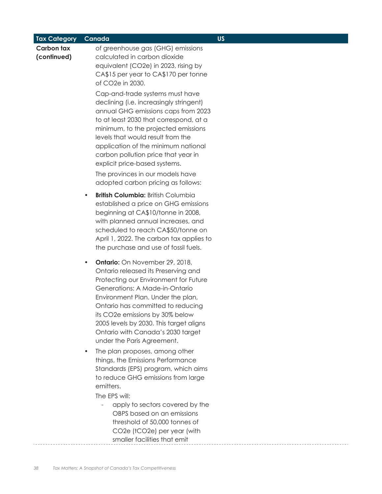| <b>Tax Category</b>              | Canada                                                                                                                                                                                                                                                                                                                                                                                          | <b>US</b> |
|----------------------------------|-------------------------------------------------------------------------------------------------------------------------------------------------------------------------------------------------------------------------------------------------------------------------------------------------------------------------------------------------------------------------------------------------|-----------|
| <b>Carbon tax</b><br>(continued) | of greenhouse gas (GHG) emissions<br>calculated in carbon dioxide<br>equivalent (CO2e) in 2023, rising by<br>CA\$15 per year to CA\$170 per tonne<br>of CO2e in 2030.                                                                                                                                                                                                                           |           |
|                                  | Cap-and-trade systems must have<br>declining (i.e. increasingly stringent)<br>annual GHG emissions caps from 2023<br>to at least 2030 that correspond, at a<br>minimum, to the projected emissions<br>levels that would result from the<br>application of the minimum national<br>carbon pollution price that year in<br>explicit price-based systems.                                          |           |
|                                  | The provinces in our models have<br>adopted carbon pricing as follows:                                                                                                                                                                                                                                                                                                                          |           |
|                                  | <b>British Columbia: British Columbia</b><br>$\bullet$<br>established a price on GHG emissions<br>beginning at CA\$10/tonne in 2008,<br>with planned annual increases, and<br>scheduled to reach CA\$50/tonne on<br>April 1, 2022. The carbon tax applies to<br>the purchase and use of fossil fuels.                                                                                           |           |
|                                  | <b>Ontario:</b> On November 29, 2018,<br>$\bullet$<br>Ontario released its Preserving and<br>Protecting our Environment for Future<br>Generations: A Made-in-Ontario<br>Environment Plan. Under the plan,<br>Ontario has committed to reducing<br>its CO2e emissions by 30% below<br>2005 levels by 2030. This target aligns<br>Ontario with Canada's 2030 target<br>under the Paris Agreement. |           |
|                                  | The plan proposes, among other<br>$\bullet$<br>things, the Emissions Performance<br>Standards (EPS) program, which aims<br>to reduce GHG emissions from large<br>emitters.                                                                                                                                                                                                                      |           |
|                                  | The EPS will:                                                                                                                                                                                                                                                                                                                                                                                   |           |
|                                  | apply to sectors covered by the<br>OBPS based on an emissions<br>threshold of 50,000 tonnes of<br>CO2e (tCO2e) per year (with                                                                                                                                                                                                                                                                   |           |
|                                  | smaller facilities that emit                                                                                                                                                                                                                                                                                                                                                                    |           |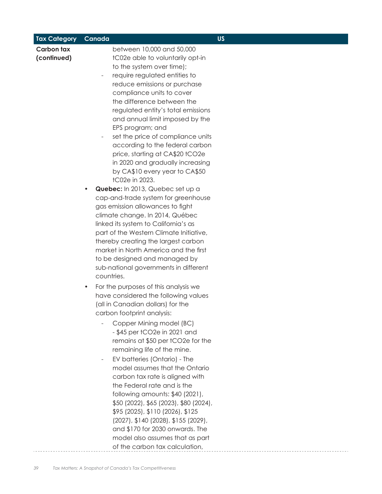| <b>Tax Category</b>              | Canada                                                                                                                                                                                                                                                                                                                                                                                                                                                                                                                                                                                                                                                                                                                                                                                                                                                                                                                                                          | <b>US</b> |
|----------------------------------|-----------------------------------------------------------------------------------------------------------------------------------------------------------------------------------------------------------------------------------------------------------------------------------------------------------------------------------------------------------------------------------------------------------------------------------------------------------------------------------------------------------------------------------------------------------------------------------------------------------------------------------------------------------------------------------------------------------------------------------------------------------------------------------------------------------------------------------------------------------------------------------------------------------------------------------------------------------------|-----------|
| <b>Carbon tax</b><br>(continued) | between 10,000 and 50,000<br>tC02e able to voluntarily opt-in<br>to the system over time);<br>require regulated entities to<br>reduce emissions or purchase<br>compliance units to cover<br>the difference between the<br>regulated entity's total emissions<br>and annual limit imposed by the<br>EPS program; and<br>set the price of compliance units<br>$\overline{\phantom{a}}$<br>according to the federal carbon<br>price, starting at CA\$20 tCO2e<br>in 2020 and gradually increasing<br>by CA\$10 every year to CA\$50<br>tC02e in 2023.<br>Quebec: In 2013, Quebec set up a<br>cap-and-trade system for greenhouse<br>gas emission allowances to fight<br>climate change. In 2014, Québec<br>linked its system to California's as<br>part of the Western Climate Initiative,<br>thereby creating the largest carbon<br>market in North America and the first<br>to be designed and managed by<br>sub-national governments in different<br>countries. |           |
|                                  | For the purposes of this analysis we<br>$\bullet$<br>have considered the following values<br>(all in Canadian dollars) for the<br>carbon footprint analysis:<br>Copper Mining model (BC)<br>$-$ \$45 per tCO2e in 2021 and<br>remains at \$50 per tCO2e for the<br>remaining life of the mine.<br>EV batteries (Ontario) - The<br>model assumes that the Ontario<br>carbon tax rate is aligned with<br>the Federal rate and is the<br>following amounts: \$40 (2021),<br>\$50 (2022), \$65 (2023), \$80 (2024),<br>\$95 (2025), \$110 (2026), \$125<br>(2027), \$140 (2028), \$155 (2029),<br>and \$170 for 2030 onwards. The<br>model also assumes that as part<br>of the carbon tax calculation,                                                                                                                                                                                                                                                              |           |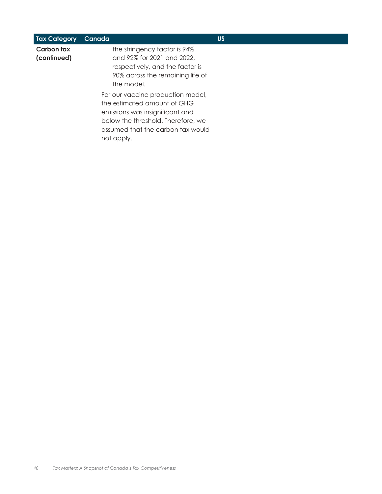| <b>Tax Category</b>       | Canada                                                                                                                                                                                       | <b>US</b> |  |
|---------------------------|----------------------------------------------------------------------------------------------------------------------------------------------------------------------------------------------|-----------|--|
| Carbon tax<br>(continued) | the stringency factor is 94%<br>and 92% for 2021 and 2022,<br>respectively, and the factor is<br>90% across the remaining life of<br>the model.                                              |           |  |
|                           | For our vaccine production model,<br>the estimated amount of GHG<br>emissions was insignificant and<br>below the threshold. Therefore, we<br>assumed that the carbon tax would<br>not apply. |           |  |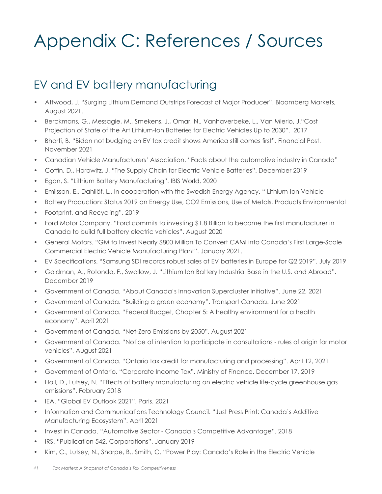# Appendix C: References / Sources

### EV and EV battery manufacturing

- Attwood, J. "Surging Lithium Demand Outstrips Forecast of Major Producer". Bloomberg Markets, August 2021.
- Berckmans, G., Messagie, M., Smekens, J., Omar, N., Vanhaverbeke, L., Van Mierlo, J."Cost Projection of State of the Art Lithium-Ion Batteries for Electric Vehicles Up to 2030". 2017
- Bharti, B. "Biden not budging on EV tax credit shows America still comes first". Financial Post. November 2021
- Canadian Vehicle Manufacturers' Association. "Facts about the automotive industry in Canada"
- Coffin, D., Horowitz, J. "The Supply Chain for Electric Vehicle Batteries". December 2019
- Egan, S. "Lithium Battery Manufacturing". IBIS World, 2020
- Emilsson, E., Dahllöf, L., In cooperation with the Swedish Energy Agency. " Lithium-Ion Vehicle
- Battery Production: Status 2019 on Energy Use, CO2 Emissions, Use of Metals, Products Environmental
- Footprint, and Recycling". 2019
- Ford Motor Company. "Ford commits to investing \$1.8 Billion to become the first manufacturer in Canada to build full battery electric vehicles". August 2020
- General Motors. "GM to Invest Nearly \$800 Million To Convert CAMI into Canada's First Large-Scale Commercial Electric Vehicle Manufacturing Plant". January 2021.
- EV Specifications. "Samsung SDI records robust sales of EV batteries in Europe for Q2 2019". July 2019
- Goldman, A., Rotondo, F., Swallow, J. "Lithium Ion Battery Industrial Base in the U.S. and Abroad". December 2019
- Government of Canada. "About Canada's Innovation Supercluster Initiative". June 22, 2021
- Government of Canada. "Building a green economy". Transport Canada. June 2021
- Government of Canada. "Federal Budget, Chapter 5: A healthy environment for a health economy". April 2021
- Government of Canada. "Net-Zero Emissions by 2050". August 2021
- Government of Canada. "Notice of intention to participate in consultations rules of origin for motor vehicles". August 2021
- Government of Canada. "Ontario tax credit for manufacturing and processing". April 12, 2021
- Government of Ontario. "Corporate Income Tax". Ministry of Finance. December 17, 2019
- Hall, D., Lutsey, N. "Effects of battery manufacturing on electric vehicle life-cycle greenhouse gas emissions". February 2018
- IEA. "Global EV Outlook 2021". Paris. 2021
- Information and Communications Technology Council. "Just Press Print: Canada's Additive Manufacturing Ecosystem". April 2021
- Invest in Canada. "Automotive Sector Canada's Competitive Advantage". 2018
- IRS. "Publication 542, Corporations". January 2019
- Kim, C., Lutsey, N., Sharpe, B., Smith, C. "Power Play: Canada's Role in the Electric Vehicle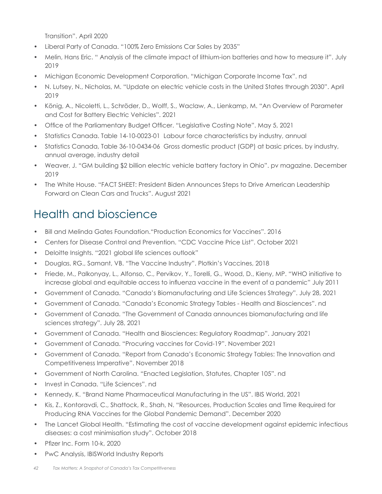Transition". April 2020

- Liberal Party of Canada. "100% Zero Emissions Car Sales by 2035"
- Melin, Hans Eric. " Analysis of the climate impact of lithium-ion batteries and how to measure it". July 2019
- Michigan Economic Development Corporation. "Michigan Corporate Income Tax". nd
- N. Lutsey, N., Nicholas, M. "Update on electric vehicle costs in the United States through 2030". April 2019
- König, A., Nicoletti, L., Schröder, D., Wolff, S., Waclaw, A., Lienkamp, M. "An Overview of Parameter and Cost for Battery Electric Vehicles". 2021
- Office of the Parliamentary Budget Officer. "Legislative Costing Note". May 5, 2021
- Statistics Canada. Table 14-10-0023-01 Labour force characteristics by industry, annual
- Statistics Canada, Table 36-10-0434-06 Gross domestic product (GDP) at basic prices, by industry, annual average, industry detail
- Weaver, J. "GM building \$2 billion electric vehicle battery factory in Ohio". pv magazine. December 2019
- The White House. "FACT SHEET: President Biden Announces Steps to Drive American Leadership Forward on Clean Cars and Trucks". August 2021

# Health and bioscience

- Bill and Melinda Gates Foundation."Production Economics for Vaccines". 2016
- Centers for Disease Control and Prevention. "CDC Vaccine Price List". October 2021
- Deloitte Insights. "2021 global life sciences outlook"
- Douglas, RG., Samant, VB. "The Vaccine Industry". Plotkin's Vaccines, 2018
- Friede, M., Palkonyay, L., Alfonso, C., Pervikov, Y., Torelli, G., Wood, D., Kieny, MP. "WHO initiative to increase global and equitable access to influenza vaccine in the event of a pandemic" July 2011
- Government of Canada. "Canada's Biomanufacturing and Life Sciences Strategy". July 28, 2021
- Government of Canada. "Canada's Economic Strategy Tables Health and Biosciences". nd
- Government of Canada. "The Government of Canada announces biomanufacturing and life sciences strategy". July 28, 2021
- Government of Canada. "Health and Biosciences: Regulatory Roadmap". January 2021
- Government of Canada. "Procuring vaccines for Covid-19". November 2021
- Government of Canada. "Report from Canada's Economic Strategy Tables: The Innovation and Competitiveness Imperative". November 2018
- Government of North Carolina. "Enacted Legislation, Statutes, Chapter 105". nd
- Invest in Canada. "Life Sciences". nd
- Kennedy, K. "Brand Name Pharmaceutical Manufacturing in the US". IBIS World, 2021
- Kis, Z., Kontoravdi, C., Shattock, R., Shah, N. "Resources, Production Scales and Time Required for Producing RNA Vaccines for the Global Pandemic Demand". December 2020
- The Lancet Global Health. "Estimating the cost of vaccine development against epidemic infectious diseases: a cost minimisation study". October 2018
- Pfizer Inc. Form 10-k, 2020
- PwC Analysis, IBISWorld Industry Reports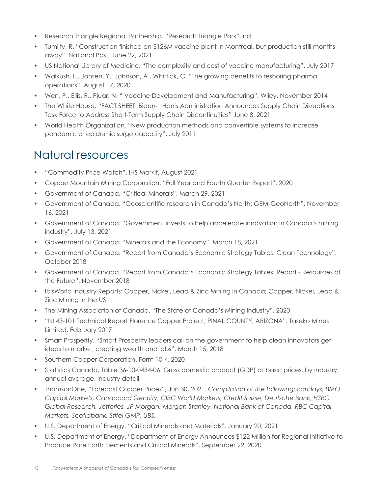- Research Triangle Regional Partnership. "Research Triangle Park". nd
- Tumilty, R. "Construction finished on \$126M vaccine plant in Montreal, but production still months away". National Post, June 22, 2021
- US National Library of Medicine. "The complexity and cost of vaccine manufacturing". July 2017
- Walkush, L., Jansen, Y., Johnson, A., Whittick, C. "The growing benefits to reshoring pharma operations". August 17, 2020
- Wen, P., Ellis, R., Pjuar, N. " Vaccine Development and Manufacturing". Wiley. November 2014
- The White House. "FACT SHEET: Biden- $\Box$ Harris Administration Announces Supply Chain Disruptions Task Force to Address Short-Term Supply Chain Discontinuities" June 8, 2021
- World Health Organization. "New production methods and convertible systems to increase pandemic or epidemic surge capacity". July 2011

### Natural resources

- "Commodity Price Watch". IHS Markit, August 2021
- Copper Mountain Mining Corporation. "Full Year and Fourth Quarter Report". 2020
- Government of Canada. "Critical Minerals". March 29, 2021
- Government of Canada. "Geoscientific research in Canada's North: GEM-GeoNorth". November 16, 2021
- Government of Canada. "Government invests to help accelerate innovation in Canada's mining industry". July 13, 2021
- Government of Canada. "Minerals and the Economy". March 18, 2021
- Government of Canada. "Report from Canada's Economic Strategy Tables: Clean Technology". October 2018
- Government of Canada. "Report from Canada's Economic Strategy Tables: Report Resources of the Future". November 2018
- IbisWorld Industry Reports: Copper, Nickel, Lead & Zinc Mining in Canada; Copper, Nickel, Lead & Zinc Mining in the US
- The Mining Association of Canada. "The State of Canada's Mining Industry". 2020
- "NI 43-101 Technical Report Florence Copper Project, PINAL COUNTY, ARIZONA". Taseko Mines Limited, February 2017
- Smart Prosperity. "Smart Prosperity leaders call on the government to help clean innovators get ideas to market, creating wealth and jobs". March 15, 2018
- Southern Copper Corporation. Form 10-k, 2020
- Statistics Canada, Table 36-10-0434-06 Gross domestic product (GDP) at basic prices, by industry, annual average, industry detail
- ThomsonOne, "Forecast Copper Prices", Jun 30, 2021. *Compilation of the following; Barclays, BMO Capital Markets, Canaccord Genuity, CIBC World Markets, Credit Suisse, Deutsche Bank, HSBC Global Research, Jefferies, JP Morgan, Morgan Stanley, National Bank of Canada, RBC Capital Markets, Scotiabank, Stifel GMP, UBS.*
- U.S. Department of Energy. "Critical Minerals and Materials". January 20, 2021
- U.S. Department of Energy. "Department of Energy Announces \$122 Million for Regional Initiative to Produce Rare Earth Elements and Critical Minerals". September 22, 2020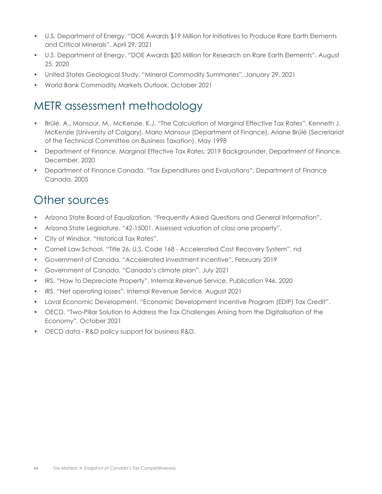- U.S. Department of Energy. "DOE Awards \$19 Million for Initiatives to Produce Rare Earth Elements and Critical Minerals". April 29, 2021
- U.S. Department of Energy. "DOE Awards \$20 Million for Research on Rare Earth Elements". August 25, 2020
- United States Geological Study. "Mineral Commodity Summaries". January 29, 2021
- World Bank Commodity Markets Outlook, October 2021

### METR assessment methodology

- Brûlé, A., Mansour, M., McKenzie, K.J. "The Calculation of Marginal Effective Tax Rates". Kenneth J. McKenzie (University of Calgary), Mario Mansour (Department of Finance), Ariane Brûlé (Secretariat of the Technical Committee on Business Taxation). May 1998
- Department of Finance. Marginal Effective Tax Rates; 2019 Backgrounder, Department of Finance. December, 2020
- Department of Finance Canada. "Tax Expenditures and Evaluations", Department of Finance Canada. 2005

### Other sources

- Arizona State Board of Equalization, "Frequently Asked Questions and General Information".
- Arizona State Legislature. "42-15001. Assessed valuation of class one property".
- City of Windsor. "Historical Tax Rates".
- Cornell Law School. "Title 26, U.S. Code 168 Accelerated Cost Recovery System". nd
- Government of Canada. "Accelerated Investment Incentive". February 2019
- Government of Canada, "Canada's climate plan". July 2021
- IRS. "How to Depreciate Property". Internal Revenue Service. Publication 946. 2020
- IRS. "Net operating losses". Internal Revenue Service. August 2021
- Laval Economic Development. "Economic Development Incentive Program (EDIP) Tax Credit".
- OECD. "Two-Pillar Solution to Address the Tax Challenges Arising from the Digitalisation of the Economy". October 2021
- OECD data R&D policy support for business R&D.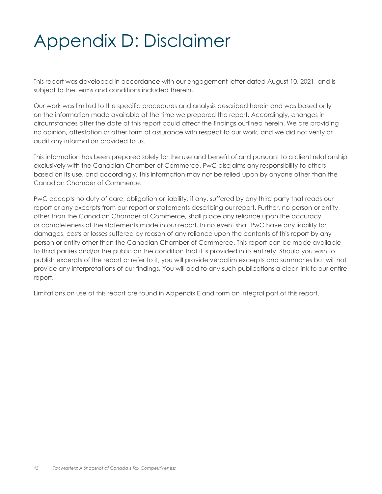# Appendix D: Disclaimer

This report was developed in accordance with our engagement letter dated August 10, 2021, and is subject to the terms and conditions included therein.

Our work was limited to the specific procedures and analysis described herein and was based only on the information made available at the time we prepared the report. Accordingly, changes in circumstances after the date of this report could affect the findings outlined herein. We are providing no opinion, attestation or other form of assurance with respect to our work, and we did not verify or audit any information provided to us.

This information has been prepared solely for the use and benefit of and pursuant to a client relationship exclusively with the Canadian Chamber of Commerce. PwC disclaims any responsibility to others based on its use, and accordingly, this information may not be relied upon by anyone other than the Canadian Chamber of Commerce.

PwC accepts no duty of care, obligation or liability, if any, suffered by any third party that reads our report or any excerpts from our report or statements describing our report. Further, no person or entity, other than the Canadian Chamber of Commerce, shall place any reliance upon the accuracy or completeness of the statements made in our report. In no event shall PwC have any liability for damages, costs or losses suffered by reason of any reliance upon the contents of this report by any person or entity other than the Canadian Chamber of Commerce. This report can be made available to third parties and/or the public on the condition that it is provided in its entirety. Should you wish to publish excerpts of the report or refer to it, you will provide verbatim excerpts and summaries but will not provide any interpretations of our findings. You will add to any such publications a clear link to our entire report.

Limitations on use of this report are found in Appendix E and form an integral part of this report.